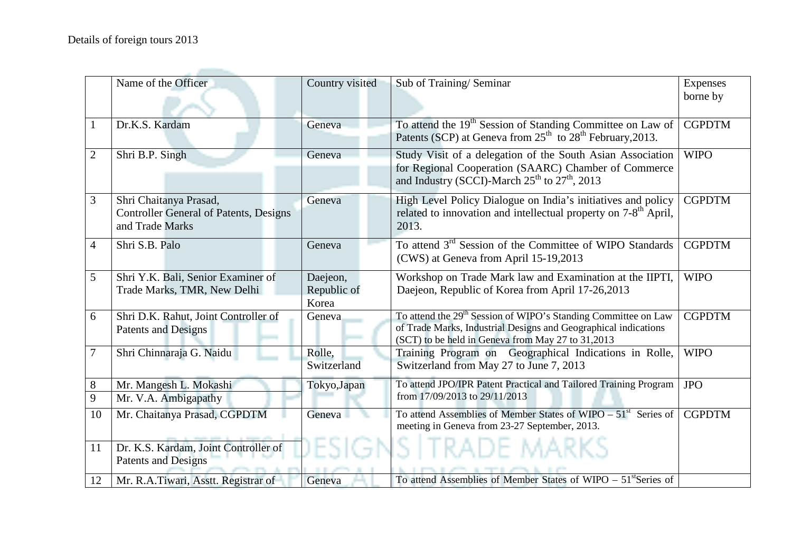|                | Name of the Officer                                                                        | Country visited       | Sub of Training/Seminar                                                                                                                                                                     | <b>Expenses</b> |
|----------------|--------------------------------------------------------------------------------------------|-----------------------|---------------------------------------------------------------------------------------------------------------------------------------------------------------------------------------------|-----------------|
|                |                                                                                            |                       |                                                                                                                                                                                             | borne by        |
| $\mathbf{1}$   | Dr.K.S. Kardam                                                                             | Geneva                | To attend the 19 <sup>th</sup> Session of Standing Committee on Law of<br>Patents (SCP) at Geneva from 25 <sup>th</sup> to 28 <sup>th</sup> February, 2013.                                 | <b>CGPDTM</b>   |
| $\overline{2}$ | Shri B.P. Singh                                                                            | Geneva                | Study Visit of a delegation of the South Asian Association<br>for Regional Cooperation (SAARC) Chamber of Commerce<br>and Industry (SCCI)-March 25 <sup>th</sup> to 27 <sup>th</sup> , 2013 | <b>WIPO</b>     |
| 3              | Shri Chaitanya Prasad,<br><b>Controller General of Patents, Designs</b><br>and Trade Marks | Geneva                | High Level Policy Dialogue on India's initiatives and policy<br>related to innovation and intellectual property on 7-8 <sup>th</sup> April,<br>2013.                                        | <b>CGPDTM</b>   |
| $\overline{4}$ | Shri S.B. Palo                                                                             | Geneva                | To attend 3 <sup>rd</sup> Session of the Committee of WIPO Standards<br>(CWS) at Geneva from April 15-19,2013                                                                               | <b>CGPDTM</b>   |
| 5              | Shri Y.K. Bali, Senior Examiner of                                                         | Daejeon,              | Workshop on Trade Mark law and Examination at the IIPTI,                                                                                                                                    | <b>WIPO</b>     |
|                | Trade Marks, TMR, New Delhi                                                                | Republic of           | Daejeon, Republic of Korea from April 17-26,2013                                                                                                                                            |                 |
|                |                                                                                            | Korea                 |                                                                                                                                                                                             |                 |
| 6              | Shri D.K. Rahut, Joint Controller of<br>Patents and Designs                                | Geneva                | To attend the 29 <sup>th</sup> Session of WIPO's Standing Committee on Law<br>of Trade Marks, Industrial Designs and Geographical indications                                               | <b>CGPDTM</b>   |
|                |                                                                                            |                       | (SCT) to be held in Geneva from May 27 to 31,2013                                                                                                                                           |                 |
| $\overline{7}$ | Shri Chinnaraja G. Naidu                                                                   | Rolle,<br>Switzerland | Training Program on Geographical Indications in Rolle,<br>Switzerland from May 27 to June 7, 2013                                                                                           | <b>WIPO</b>     |
| $8\phantom{1}$ | Mr. Mangesh L. Mokashi                                                                     | Tokyo, Japan          | To attend JPO/IPR Patent Practical and Tailored Training Program                                                                                                                            | <b>JPO</b>      |
| 9              | Mr. V.A. Ambigapathy                                                                       |                       | from 17/09/2013 to 29/11/2013                                                                                                                                                               |                 |
| 10             | Mr. Chaitanya Prasad, CGPDTM                                                               | Geneva                | To attend Assemblies of Member States of WIPO – $51st$ Series of<br>meeting in Geneva from 23-27 September, 2013.                                                                           | <b>CGPDTM</b>   |
| 11             | Dr. K.S. Kardam, Joint Controller of<br><b>Patents and Designs</b>                         | )ESIGNS.              | ITRADE MARKS                                                                                                                                                                                |                 |
| 12             | Mr. R.A.Tiwari, Asstt. Registrar of                                                        | Geneva                | To attend Assemblies of Member States of WIPO $-51$ <sup>st</sup> Series of                                                                                                                 |                 |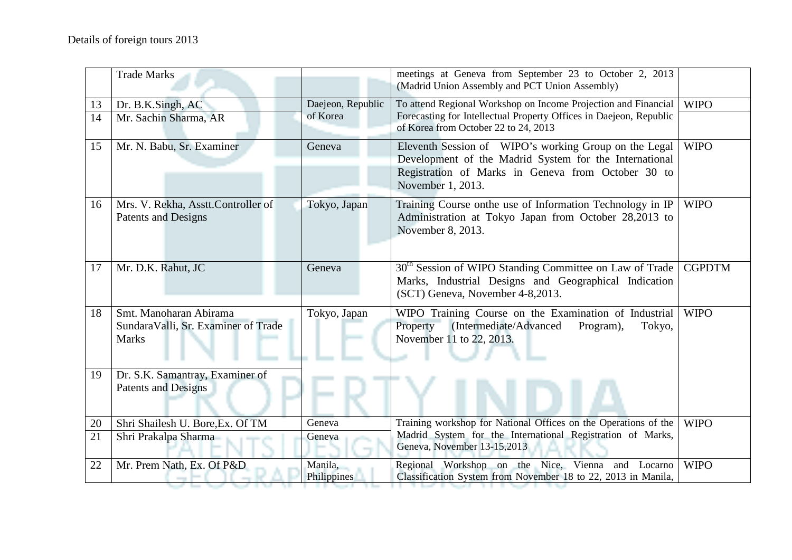|    | <b>Trade Marks</b>                                                            |                        | meetings at Geneva from September 23 to October 2, 2013<br>(Madrid Union Assembly and PCT Union Assembly)                                                                                  |               |
|----|-------------------------------------------------------------------------------|------------------------|--------------------------------------------------------------------------------------------------------------------------------------------------------------------------------------------|---------------|
| 13 | Dr. B.K.Singh, AC                                                             | Daejeon, Republic      | To attend Regional Workshop on Income Projection and Financial                                                                                                                             | <b>WIPO</b>   |
| 14 | Mr. Sachin Sharma, AR                                                         | of Korea               | Forecasting for Intellectual Property Offices in Daejeon, Republic<br>of Korea from October 22 to 24, 2013                                                                                 |               |
| 15 | Mr. N. Babu, Sr. Examiner                                                     | Geneva                 | Eleventh Session of WIPO's working Group on the Legal<br>Development of the Madrid System for the International<br>Registration of Marks in Geneva from October 30 to<br>November 1, 2013. | <b>WIPO</b>   |
| 16 | Mrs. V. Rekha, Asstt.Controller of<br>Patents and Designs                     | Tokyo, Japan           | Training Course onthe use of Information Technology in IP<br>Administration at Tokyo Japan from October 28,2013 to<br>November 8, 2013.                                                    | <b>WIPO</b>   |
| 17 | Mr. D.K. Rahut, JC                                                            | Geneva                 | 30 <sup>th</sup> Session of WIPO Standing Committee on Law of Trade<br>Marks, Industrial Designs and Geographical Indication<br>(SCT) Geneva, November 4-8,2013.                           | <b>CGPDTM</b> |
| 18 | Smt. Manoharan Abirama<br>SundaraValli, Sr. Examiner of Trade<br><b>Marks</b> | Tokyo, Japan           | WIPO Training Course on the Examination of Industrial<br>(Intermediate/Advanced<br>Property<br>Program),<br>Tokyo,<br>November 11 to 22, 2013.                                             | <b>WIPO</b>   |
| 19 | Dr. S.K. Samantray, Examiner of<br><b>Patents and Designs</b>                 |                        |                                                                                                                                                                                            |               |
| 20 | Shri Shailesh U. Bore, Ex. Of TM                                              | Geneva                 | Training workshop for National Offices on the Operations of the                                                                                                                            | <b>WIPO</b>   |
| 21 | Shri Prakalpa Sharma                                                          | Geneva                 | Madrid System for the International Registration of Marks,<br>Geneva, November 13-15,2013                                                                                                  |               |
| 22 | Mr. Prem Nath, Ex. Of P&D                                                     | Manila,<br>Philippines | Regional Workshop on the Nice, Vienna and Locarno<br>Classification System from November 18 to 22, 2013 in Manila,                                                                         | <b>WIPO</b>   |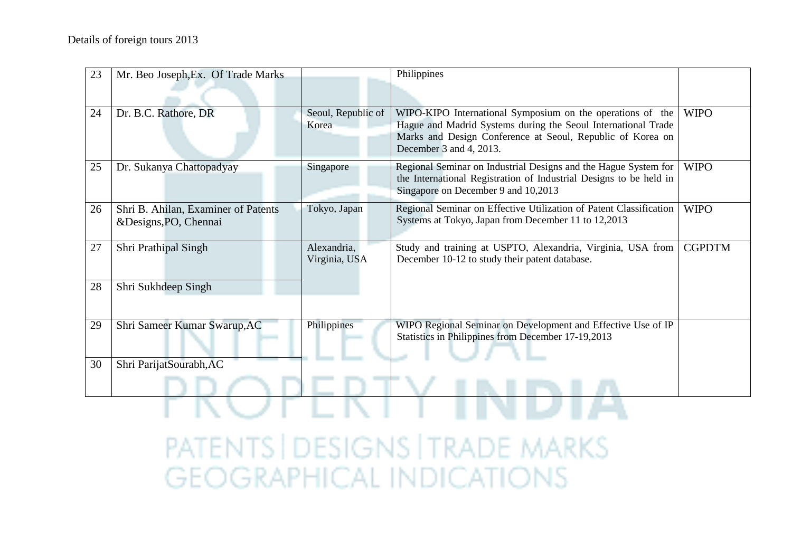| 23 | Mr. Beo Joseph, Ex. Of Trade Marks  |                             | Philippines                                                                                                                           |               |  |  |
|----|-------------------------------------|-----------------------------|---------------------------------------------------------------------------------------------------------------------------------------|---------------|--|--|
|    |                                     |                             |                                                                                                                                       |               |  |  |
| 24 | Dr. B.C. Rathore, DR                | Seoul, Republic of<br>Korea | WIPO-KIPO International Symposium on the operations of the<br>Hague and Madrid Systems during the Seoul International Trade           | <b>WIPO</b>   |  |  |
|    |                                     |                             | Marks and Design Conference at Seoul, Republic of Korea on                                                                            |               |  |  |
|    |                                     |                             | December 3 and 4, 2013.                                                                                                               |               |  |  |
| 25 | Dr. Sukanya Chattopadyay            | Singapore                   | Regional Seminar on Industrial Designs and the Hague System for<br>the International Registration of Industrial Designs to be held in | <b>WIPO</b>   |  |  |
|    |                                     |                             | Singapore on December 9 and 10,2013                                                                                                   |               |  |  |
| 26 | Shri B. Ahilan, Examiner of Patents | Tokyo, Japan                | Regional Seminar on Effective Utilization of Patent Classification<br>Systems at Tokyo, Japan from December 11 to 12,2013             | <b>WIPO</b>   |  |  |
|    | &Designs, PO, Chennai               |                             |                                                                                                                                       |               |  |  |
| 27 | Shri Prathipal Singh                | Alexandria,                 | Study and training at USPTO, Alexandria, Virginia, USA from<br>December 10-12 to study their patent database.                         | <b>CGPDTM</b> |  |  |
|    |                                     | Virginia, USA               |                                                                                                                                       |               |  |  |
| 28 | Shri Sukhdeep Singh                 |                             |                                                                                                                                       |               |  |  |
|    |                                     |                             |                                                                                                                                       |               |  |  |
| 29 | Shri Sameer Kumar Swarup, AC        | Philippines                 | WIPO Regional Seminar on Development and Effective Use of IP<br>Statistics in Philippines from December 17-19,2013                    |               |  |  |
|    |                                     |                             |                                                                                                                                       |               |  |  |
| 30 | Shri ParijatSourabh, AC             |                             |                                                                                                                                       |               |  |  |
|    |                                     |                             |                                                                                                                                       |               |  |  |
|    |                                     |                             |                                                                                                                                       |               |  |  |
|    | PATENTS   DESIGNS   TRADE MARKS     |                             |                                                                                                                                       |               |  |  |
|    |                                     |                             | GEOGRAPHICAL INDICATIC                                                                                                                |               |  |  |
|    |                                     |                             |                                                                                                                                       |               |  |  |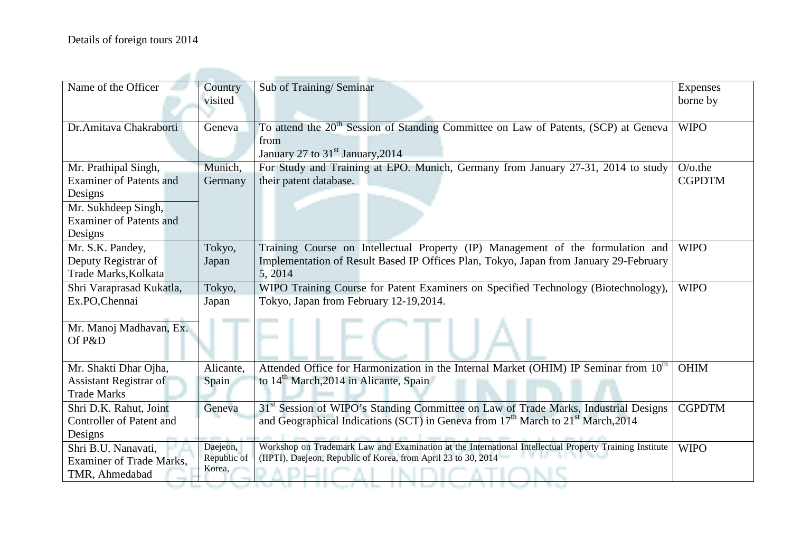| Name of the Officer             | Country     | Sub of Training/Seminar                                                                                  | Expenses      |
|---------------------------------|-------------|----------------------------------------------------------------------------------------------------------|---------------|
|                                 | visited     |                                                                                                          | borne by      |
|                                 |             |                                                                                                          |               |
| Dr. Amitava Chakraborti         | Geneva      | To attend the 20 <sup>th</sup> Session of Standing Committee on Law of Patents, (SCP) at Geneva          | <b>WIPO</b>   |
|                                 |             | from                                                                                                     |               |
|                                 |             | January 27 to 31 <sup>st</sup> January, 2014                                                             |               |
| Mr. Prathipal Singh,            | Munich,     | For Study and Training at EPO. Munich, Germany from January 27-31, 2014 to study                         | $O$ /o.the    |
| <b>Examiner of Patents and</b>  | Germany     | their patent database.                                                                                   | <b>CGPDTM</b> |
| Designs                         |             |                                                                                                          |               |
| Mr. Sukhdeep Singh,             |             |                                                                                                          |               |
| <b>Examiner of Patents and</b>  |             |                                                                                                          |               |
| Designs                         |             |                                                                                                          |               |
| Mr. S.K. Pandey,                | Tokyo,      | Training Course on Intellectual Property (IP) Management of the formulation and                          | <b>WIPO</b>   |
| Deputy Registrar of             | Japan       | Implementation of Result Based IP Offices Plan, Tokyo, Japan from January 29-February                    |               |
| Trade Marks, Kolkata            |             | 5, 2014                                                                                                  |               |
| Shri Varaprasad Kukatla,        | Tokyo,      | WIPO Training Course for Patent Examiners on Specified Technology (Biotechnology),                       | <b>WIPO</b>   |
| Ex.PO,Chennai                   | Japan       | Tokyo, Japan from February 12-19,2014.                                                                   |               |
|                                 |             |                                                                                                          |               |
| Mr. Manoj Madhavan, Ex.         |             |                                                                                                          |               |
| Of P&D                          |             |                                                                                                          |               |
|                                 |             |                                                                                                          |               |
| Mr. Shakti Dhar Ojha,           | Alicante.   | Attended Office for Harmonization in the Internal Market (OHIM) IP Seminar from 10 <sup>th</sup>         | <b>OHIM</b>   |
| <b>Assistant Registrar of</b>   | Spain       | to 14 <sup>th</sup> March, 2014 in Alicante, Spain                                                       |               |
| <b>Trade Marks</b>              |             |                                                                                                          |               |
| Shri D.K. Rahut, Joint          | Geneva      | 31 <sup>st</sup> Session of WIPO's Standing Committee on Law of Trade Marks, Industrial Designs          | <b>CGPDTM</b> |
| <b>Controller of Patent and</b> |             | and Geographical Indications (SCT) in Geneva from 17 <sup>th</sup> March to 21 <sup>st</sup> March, 2014 |               |
| Designs                         |             |                                                                                                          |               |
| Shri B.U. Nanavati,             | Daejeon,    | Workshop on Trademark Law and Examination at the International Intellectual Property Training Institute  | <b>WIPO</b>   |
| <b>Examiner of Trade Marks.</b> | Republic of | (IIPTI), Daejeon, Republic of Korea, from April 23 to 30, 2014                                           |               |
| TMR, Ahmedabad                  | Korea,      |                                                                                                          |               |
|                                 |             |                                                                                                          |               |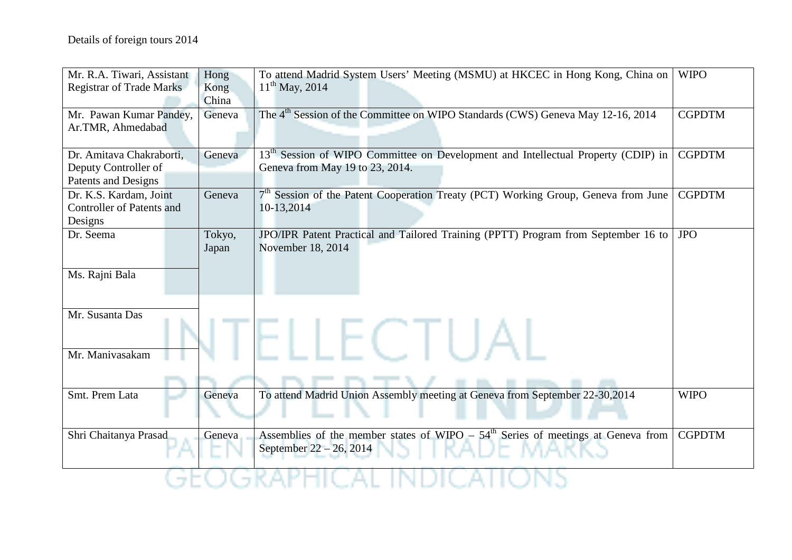| Mr. R.A. Tiwari, Assistant       | Hong   | To attend Madrid System Users' Meeting (MSMU) at HKCEC in Hong Kong, China on                  | <b>WIPO</b>   |
|----------------------------------|--------|------------------------------------------------------------------------------------------------|---------------|
| <b>Registrar of Trade Marks</b>  | Kong   | $11^{th}$ May, 2014                                                                            |               |
|                                  | China  |                                                                                                |               |
| Mr. Pawan Kumar Pandey,          | Geneva | The 4 <sup>th</sup> Session of the Committee on WIPO Standards (CWS) Geneva May 12-16, 2014    | <b>CGPDTM</b> |
| Ar.TMR, Ahmedabad                |        |                                                                                                |               |
|                                  |        |                                                                                                |               |
| Dr. Amitava Chakraborti,         | Geneva | 13 <sup>th</sup> Session of WIPO Committee on Development and Intellectual Property (CDIP) in  | <b>CGPDTM</b> |
| Deputy Controller of             |        | Geneva from May 19 to 23, 2014.                                                                |               |
| Patents and Designs              |        |                                                                                                |               |
| Dr. K.S. Kardam, Joint           | Geneva | 7 <sup>th</sup> Session of the Patent Cooperation Treaty (PCT) Working Group, Geneva from June | <b>CGPDTM</b> |
| <b>Controller of Patents and</b> |        | 10-13,2014                                                                                     |               |
| Designs                          |        |                                                                                                |               |
| Dr. Seema                        | Tokyo, | JPO/IPR Patent Practical and Tailored Training (PPTT) Program from September 16 to             | <b>JPO</b>    |
|                                  | Japan  | November 18, 2014                                                                              |               |
|                                  |        |                                                                                                |               |
| Ms. Rajni Bala                   |        |                                                                                                |               |
|                                  |        |                                                                                                |               |
|                                  |        |                                                                                                |               |
| Mr. Susanta Das                  |        |                                                                                                |               |
|                                  |        |                                                                                                |               |
|                                  |        |                                                                                                |               |
| Mr. Manivasakam                  |        |                                                                                                |               |
|                                  |        |                                                                                                |               |
|                                  |        |                                                                                                |               |
| Smt. Prem Lata                   | Geneva | To attend Madrid Union Assembly meeting at Geneva from September 22-30,2014                    | <b>WIPO</b>   |
|                                  |        |                                                                                                |               |
|                                  |        |                                                                                                |               |
| Shri Chaitanya Prasad            | Geneva | Assemblies of the member states of WIPO – $54th$ Series of meetings at Geneva from             | <b>CGPDTM</b> |
|                                  |        | September 22 – 26, 2014                                                                        |               |
|                                  |        |                                                                                                |               |
|                                  |        |                                                                                                |               |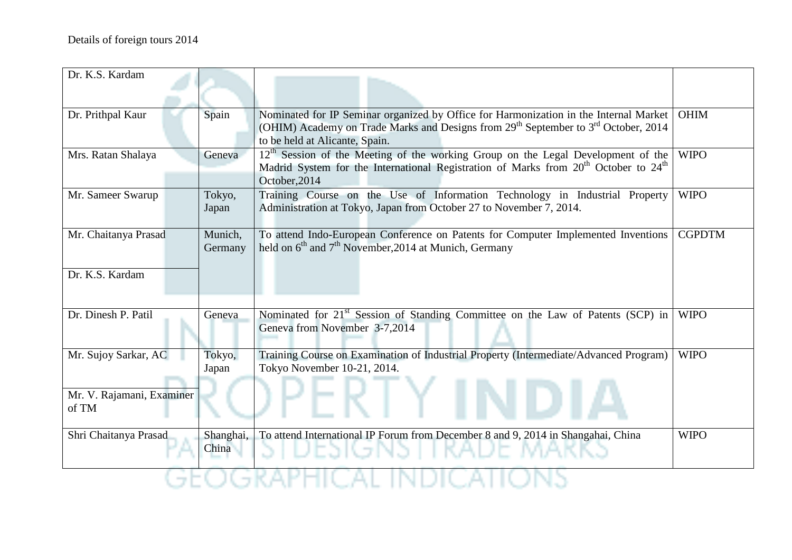| Dr. K.S. Kardam                    |                    |                                                                                                                                                                                                                                       |               |
|------------------------------------|--------------------|---------------------------------------------------------------------------------------------------------------------------------------------------------------------------------------------------------------------------------------|---------------|
| Dr. Prithpal Kaur                  | Spain              | Nominated for IP Seminar organized by Office for Harmonization in the Internal Market<br>(OHIM) Academy on Trade Marks and Designs from 29 <sup>th</sup> September to 3 <sup>rd</sup> October, 2014<br>to be held at Alicante, Spain. | <b>OHIM</b>   |
| Mrs. Ratan Shalaya                 | Geneva             | 12 <sup>th</sup> Session of the Meeting of the working Group on the Legal Development of the<br>Madrid System for the International Registration of Marks from 20 <sup>th</sup> October to 24 <sup>th</sup><br>October, 2014          | <b>WIPO</b>   |
| Mr. Sameer Swarup                  | Tokyo,<br>Japan    | Training Course on the Use of Information Technology in Industrial Property<br>Administration at Tokyo, Japan from October 27 to November 7, 2014.                                                                                    | <b>WIPO</b>   |
| Mr. Chaitanya Prasad               | Munich,<br>Germany | To attend Indo-European Conference on Patents for Computer Implemented Inventions<br>held on $6th$ and $7th$ November, 2014 at Munich, Germany                                                                                        | <b>CGPDTM</b> |
| Dr. K.S. Kardam                    |                    |                                                                                                                                                                                                                                       |               |
| Dr. Dinesh P. Patil                | Geneva             | Nominated for 21 <sup>st</sup> Session of Standing Committee on the Law of Patents (SCP) in<br>Geneva from November 3-7,2014                                                                                                          | <b>WIPO</b>   |
| Mr. Sujoy Sarkar, AC               | Tokyo,<br>Japan    | Training Course on Examination of Industrial Property (Intermediate/Advanced Program)<br>Tokyo November 10-21, 2014.                                                                                                                  | <b>WIPO</b>   |
| Mr. V. Rajamani, Examiner<br>of TM |                    |                                                                                                                                                                                                                                       |               |
| Shri Chaitanya Prasad              | Shanghai,<br>China | To attend International IP Forum from December 8 and 9, 2014 in Shangahai, China                                                                                                                                                      | <b>WIPO</b>   |
|                                    |                    |                                                                                                                                                                                                                                       |               |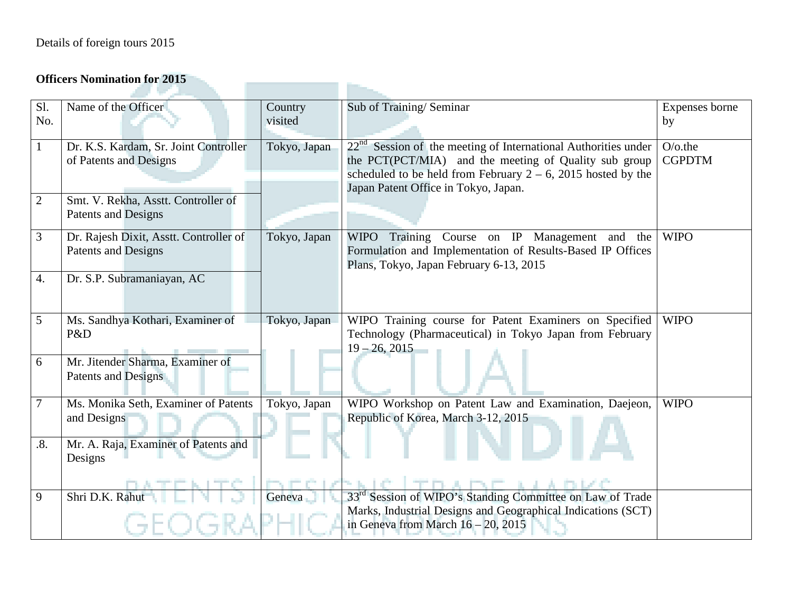## **Officers Nomination for 2015**

|              | Опісля гопішаной юг 2013                                        |                     |                                                                                                                                                                                                                                      |                             |
|--------------|-----------------------------------------------------------------|---------------------|--------------------------------------------------------------------------------------------------------------------------------------------------------------------------------------------------------------------------------------|-----------------------------|
| Sl.          | Name of the Officer                                             | Country             | Sub of Training/Seminar                                                                                                                                                                                                              | Expenses borne              |
| No.          |                                                                 | visited             |                                                                                                                                                                                                                                      | by                          |
| $\mathbf{1}$ | Dr. K.S. Kardam, Sr. Joint Controller<br>of Patents and Designs | Tokyo, Japan        | $22nd$ Session of the meeting of International Authorities under<br>the PCT(PCT/MIA) and the meeting of Quality sub group<br>scheduled to be held from February $2 - 6$ , 2015 hosted by the<br>Japan Patent Office in Tokyo, Japan. | $O$ /o.the<br><b>CGPDTM</b> |
| $\mathbf{2}$ | Smt. V. Rekha, Asstt. Controller of<br>Patents and Designs      |                     |                                                                                                                                                                                                                                      |                             |
| 3            | Dr. Rajesh Dixit, Asstt. Controller of<br>Patents and Designs   | Tokyo, Japan        | WIPO Training Course on IP Management and the<br>Formulation and Implementation of Results-Based IP Offices<br>Plans, Tokyo, Japan February 6-13, 2015                                                                               | <b>WIPO</b>                 |
| 4.           | Dr. S.P. Subramaniayan, AC                                      |                     |                                                                                                                                                                                                                                      |                             |
| 5            | Ms. Sandhya Kothari, Examiner of<br>P&D                         | Tokyo, Japan        | WIPO Training course for Patent Examiners on Specified<br>Technology (Pharmaceutical) in Tokyo Japan from February<br>$19 - 26, 2015$                                                                                                | <b>WIPO</b>                 |
| 6            | Mr. Jitender Sharma, Examiner of<br>Patents and Designs         |                     |                                                                                                                                                                                                                                      |                             |
| $\tau$       | Ms. Monika Seth, Examiner of Patents<br>and Designs             | Tokyo, Japan        | WIPO Workshop on Patent Law and Examination, Daejeon,<br>Republic of Korea, March 3-12, 2015                                                                                                                                         | <b>WIPO</b>                 |
| .8.          | Mr. A. Raja, Examiner of Patents and<br>Designs                 |                     |                                                                                                                                                                                                                                      |                             |
|              |                                                                 |                     |                                                                                                                                                                                                                                      |                             |
| 9            | Shri D.K. Rahut                                                 | Geneva <sub>1</sub> | 33 <sup>rd</sup> Session of WIPO's Standing Committee on Law of Trade<br>Marks, Industrial Designs and Geographical Indications (SCT)<br>in Geneva from March $16 - 20$ , 2015                                                       |                             |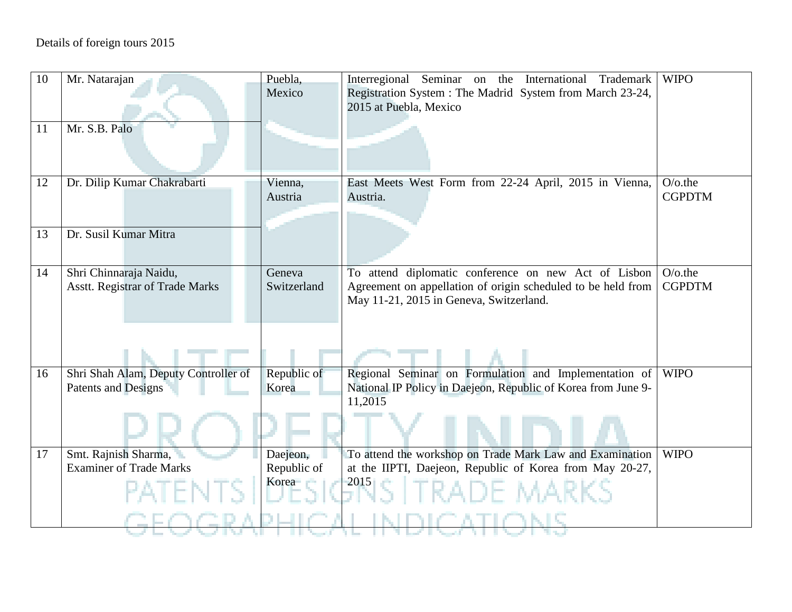| 10 | Mr. Natarajan                          | Puebla,     | Interregional Seminar on the International<br>Trademark                  | <b>WIPO</b>   |
|----|----------------------------------------|-------------|--------------------------------------------------------------------------|---------------|
|    |                                        | Mexico      | Registration System: The Madrid System from March 23-24,                 |               |
|    |                                        |             | 2015 at Puebla, Mexico                                                   |               |
| 11 | Mr. S.B. Palo                          |             |                                                                          |               |
|    |                                        |             |                                                                          |               |
|    |                                        |             |                                                                          |               |
| 12 | Dr. Dilip Kumar Chakrabarti            | Vienna,     | East Meets West Form from 22-24 April, 2015 in Vienna,                   | $O$ /o.the    |
|    |                                        | Austria     | Austria.                                                                 | <b>CGPDTM</b> |
|    |                                        |             |                                                                          |               |
| 13 | Dr. Susil Kumar Mitra                  |             |                                                                          |               |
|    |                                        |             |                                                                          |               |
| 14 | Shri Chinnaraja Naidu,                 | Geneva      | To attend diplomatic conference on new Act of Lisbon                     | $O$ /o.the    |
|    | <b>Asstt. Registrar of Trade Marks</b> | Switzerland | Agreement on appellation of origin scheduled to be held from             | <b>CGPDTM</b> |
|    |                                        |             | May 11-21, 2015 in Geneva, Switzerland.                                  |               |
|    |                                        |             |                                                                          |               |
|    |                                        |             |                                                                          |               |
|    |                                        |             |                                                                          |               |
| 16 | Shri Shah Alam, Deputy Controller of   | Republic of | Regional Seminar on Formulation and Implementation of                    | <b>WIPO</b>   |
|    | Patents and Designs                    | Korea       | National IP Policy in Daejeon, Republic of Korea from June 9-<br>11,2015 |               |
|    |                                        |             |                                                                          |               |
|    |                                        |             |                                                                          |               |
| 17 | Smt. Rajnish Sharma,                   | Daejeon,    | To attend the workshop on Trade Mark Law and Examination                 | <b>WIPO</b>   |
|    | <b>Examiner of Trade Marks</b>         | Republic of | at the IIPTI, Daejeon, Republic of Korea from May 20-27,                 |               |
|    |                                        | Korea       | 2015                                                                     |               |
|    |                                        |             | de marks                                                                 |               |
|    |                                        |             |                                                                          |               |
|    |                                        |             |                                                                          |               |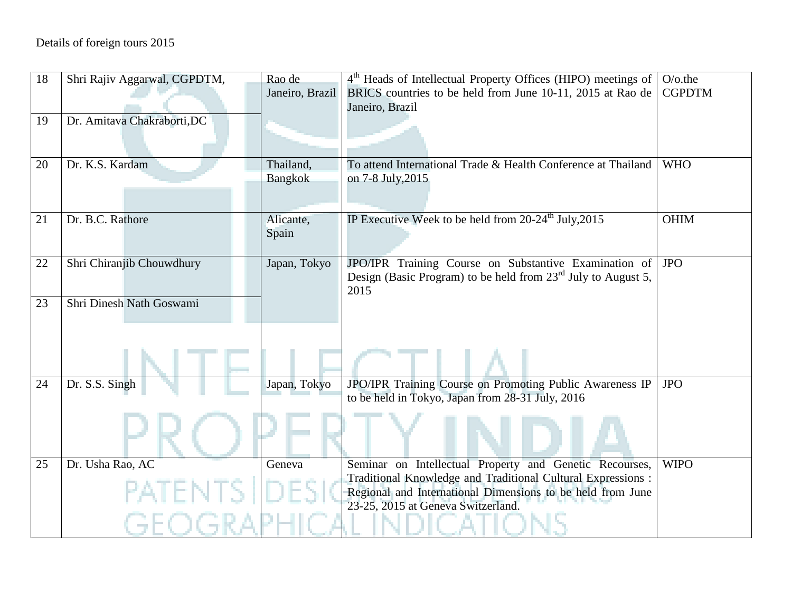| 18 | Shri Rajiv Aggarwal, CGPDTM, | Rao de          | $4th$ Heads of Intellectual Property Offices (HIPO) meetings of | $O$ /o.the    |
|----|------------------------------|-----------------|-----------------------------------------------------------------|---------------|
|    |                              | Janeiro, Brazil | BRICS countries to be held from June 10-11, 2015 at Rao de      | <b>CGPDTM</b> |
|    |                              |                 | Janeiro, Brazil                                                 |               |
| 19 | Dr. Amitava Chakraborti, DC  |                 |                                                                 |               |
|    |                              |                 |                                                                 |               |
|    | Dr. K.S. Kardam              | Thailand,       | To attend International Trade & Health Conference at Thailand   | <b>WHO</b>    |
| 20 |                              | <b>Bangkok</b>  | on 7-8 July, 2015                                               |               |
|    |                              |                 |                                                                 |               |
|    |                              |                 |                                                                 |               |
| 21 | Dr. B.C. Rathore             | Alicante,       | IP Executive Week to be held from $20-24th$ July, 2015          | <b>OHIM</b>   |
|    |                              | Spain           |                                                                 |               |
|    |                              |                 |                                                                 |               |
| 22 | Shri Chiranjib Chouwdhury    | Japan, Tokyo    | JPO/IPR Training Course on Substantive Examination of JPO       |               |
|    |                              |                 | Design (Basic Program) to be held from $23rd$ July to August 5, |               |
| 23 | Shri Dinesh Nath Goswami     |                 | 2015                                                            |               |
|    |                              |                 |                                                                 |               |
|    |                              |                 |                                                                 |               |
|    |                              |                 |                                                                 |               |
|    |                              |                 |                                                                 |               |
| 24 | Dr. S.S. Singh               | Japan, Tokyo    | JPO/IPR Training Course on Promoting Public Awareness IP        | <b>JPO</b>    |
|    |                              |                 | to be held in Tokyo, Japan from 28-31 July, 2016                |               |
|    |                              |                 |                                                                 |               |
|    |                              |                 |                                                                 |               |
|    |                              |                 |                                                                 |               |
| 25 | Dr. Usha Rao, AC             | Geneva          | Seminar on Intellectual Property and Genetic Recourses,         | <b>WIPO</b>   |
|    |                              |                 | Traditional Knowledge and Traditional Cultural Expressions :    |               |
|    | PATENTS                      |                 | Regional and International Dimensions to be held from June      |               |
|    |                              |                 | 23-25, 2015 at Geneva Switzerland.                              |               |
|    |                              |                 |                                                                 |               |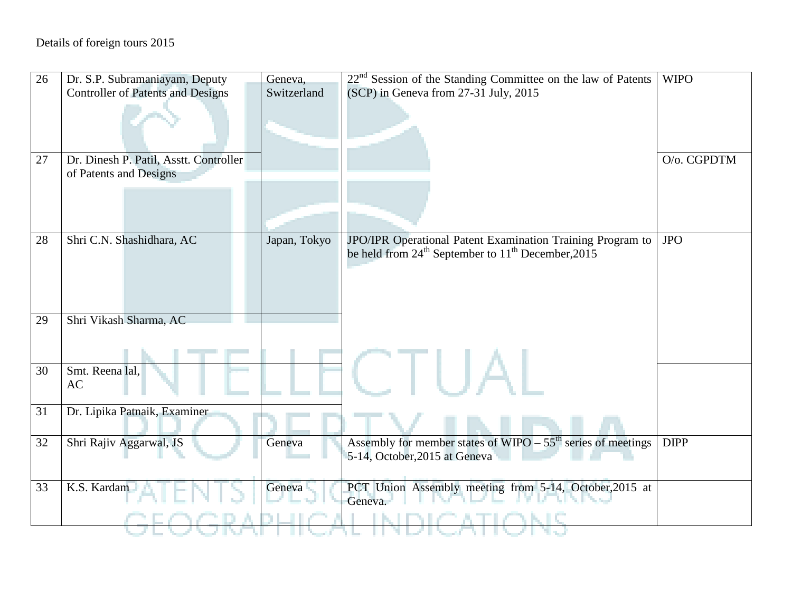| 26 | Dr. S.P. Subramaniayam, Deputy                                   | Geneva,      | $22nd$ Session of the Standing Committee on the law of Patents                                                       | <b>WIPO</b> |
|----|------------------------------------------------------------------|--------------|----------------------------------------------------------------------------------------------------------------------|-------------|
|    | <b>Controller of Patents and Designs</b>                         | Switzerland  | (SCP) in Geneva from 27-31 July, 2015                                                                                |             |
|    |                                                                  |              |                                                                                                                      |             |
| 27 | Dr. Dinesh P. Patil, Asstt. Controller<br>of Patents and Designs |              |                                                                                                                      | O/o. CGPDTM |
|    |                                                                  |              |                                                                                                                      |             |
|    |                                                                  |              |                                                                                                                      |             |
| 28 | Shri C.N. Shashidhara, AC                                        | Japan, Tokyo | JPO/IPR Operational Patent Examination Training Program to<br>be held from $24th$ September to $11th$ December, 2015 | <b>JPO</b>  |
|    |                                                                  |              |                                                                                                                      |             |
|    |                                                                  |              |                                                                                                                      |             |
| 29 | Shri Vikash Sharma, AC                                           |              |                                                                                                                      |             |
|    |                                                                  |              |                                                                                                                      |             |
|    |                                                                  |              |                                                                                                                      |             |
| 30 | Smt. Reena lal.<br>AC                                            |              |                                                                                                                      |             |
| 31 | Dr. Lipika Patnaik, Examiner                                     |              |                                                                                                                      |             |
| 32 | Shri Rajiv Aggarwal, JS                                          | Geneva       | Assembly for member states of $W \times 55^{th}$ series of meetings<br>5-14, October, 2015 at Geneva                 | <b>DIPP</b> |
| 33 | K.S. Kardam                                                      | Geneva       | PCT Union Assembly meeting from 5-14, October, 2015 at<br>Geneva.                                                    |             |
|    |                                                                  |              |                                                                                                                      |             |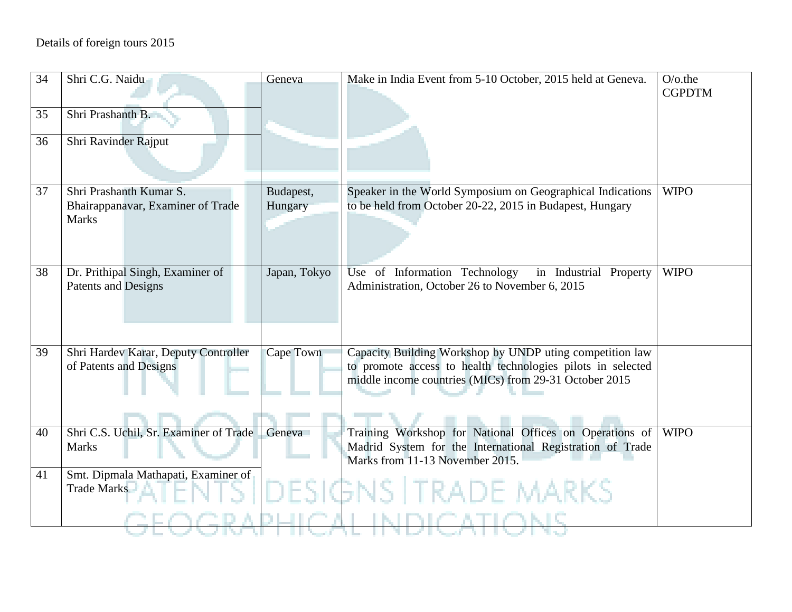| 34 | Shri C.G. Naidu                                                | Geneva               | Make in India Event from 5-10 October, 2015 held at Geneva.                                                             | $O$ / $o$ .the<br><b>CGPDTM</b> |
|----|----------------------------------------------------------------|----------------------|-------------------------------------------------------------------------------------------------------------------------|---------------------------------|
| 35 | Shri Prashanth B.                                              |                      |                                                                                                                         |                                 |
| 36 | Shri Ravinder Rajput                                           |                      |                                                                                                                         |                                 |
|    |                                                                |                      |                                                                                                                         |                                 |
| 37 | Shri Prashanth Kumar S.<br>Bhairappanavar, Examiner of Trade   | Budapest,<br>Hungary | Speaker in the World Symposium on Geographical Indications<br>to be held from October 20-22, 2015 in Budapest, Hungary  | <b>WIPO</b>                     |
|    | <b>Marks</b>                                                   |                      |                                                                                                                         |                                 |
|    |                                                                |                      |                                                                                                                         |                                 |
| 38 | Dr. Prithipal Singh, Examiner of<br>Patents and Designs        | Japan, Tokyo         | Use of Information Technology<br>in Industrial Property<br>Administration, October 26 to November 6, 2015               | <b>WIPO</b>                     |
|    |                                                                |                      |                                                                                                                         |                                 |
|    |                                                                |                      |                                                                                                                         |                                 |
| 39 | Shri Hardev Karar, Deputy Controller<br>of Patents and Designs | Cape Town            | Capacity Building Workshop by UNDP uting competition law<br>to promote access to health technologies pilots in selected |                                 |
|    |                                                                |                      | middle income countries (MICs) from 29-31 October 2015                                                                  |                                 |
|    |                                                                |                      |                                                                                                                         |                                 |
| 40 | Shri C.S. Uchil, Sr. Examiner of Trade                         | Geneva               | Training Workshop for National Offices on Operations of                                                                 | <b>WIPO</b>                     |
|    | <b>Marks</b>                                                   |                      | Madrid System for the International Registration of Trade<br>Marks from 11-13 November 2015.                            |                                 |
| 41 | Smt. Dipmala Mathapati, Examiner of<br>Trade Marks             |                      |                                                                                                                         |                                 |
|    |                                                                |                      | DESIGNS TRADE MARKS                                                                                                     |                                 |
|    |                                                                |                      |                                                                                                                         |                                 |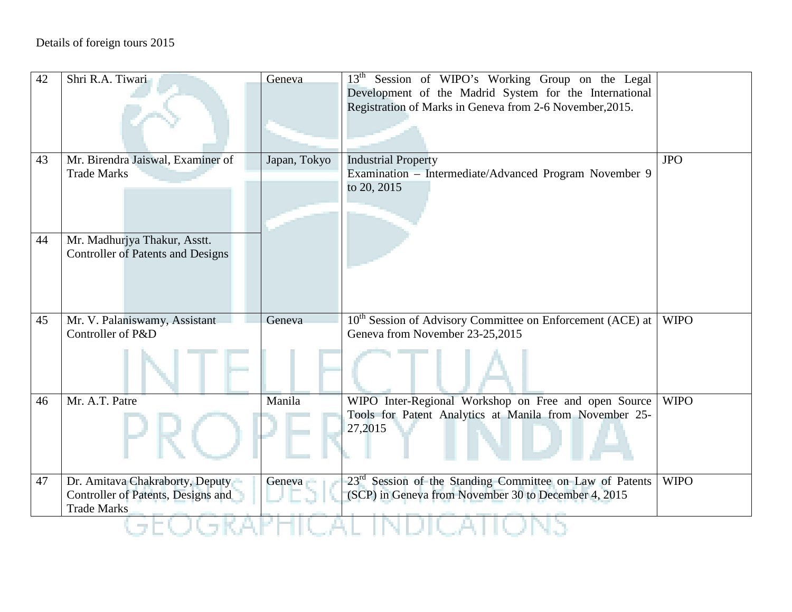| 42 | Shri R.A. Tiwari                         | Geneva       | 13 <sup>th</sup> Session of WIPO's Working Group on the Legal          |             |  |  |
|----|------------------------------------------|--------------|------------------------------------------------------------------------|-------------|--|--|
|    |                                          |              | Development of the Madrid System for the International                 |             |  |  |
|    |                                          |              | Registration of Marks in Geneva from 2-6 November, 2015.               |             |  |  |
|    |                                          |              |                                                                        |             |  |  |
|    |                                          |              |                                                                        |             |  |  |
|    |                                          |              |                                                                        |             |  |  |
| 43 | Mr. Birendra Jaiswal, Examiner of        | Japan, Tokyo | <b>Industrial Property</b>                                             | <b>JPO</b>  |  |  |
|    | <b>Trade Marks</b>                       |              | Examination - Intermediate/Advanced Program November 9                 |             |  |  |
|    |                                          |              | to 20, 2015                                                            |             |  |  |
|    |                                          |              |                                                                        |             |  |  |
|    |                                          |              |                                                                        |             |  |  |
|    |                                          |              |                                                                        |             |  |  |
| 44 | Mr. Madhurjya Thakur, Asstt.             |              |                                                                        |             |  |  |
|    | <b>Controller of Patents and Designs</b> |              |                                                                        |             |  |  |
|    |                                          |              |                                                                        |             |  |  |
|    |                                          |              |                                                                        |             |  |  |
|    |                                          |              |                                                                        |             |  |  |
| 45 | Mr. V. Palaniswamy, Assistant            | Geneva       | 10 <sup>th</sup> Session of Advisory Committee on Enforcement (ACE) at | <b>WIPO</b> |  |  |
|    | Controller of P&D                        |              | Geneva from November 23-25,2015                                        |             |  |  |
|    |                                          |              |                                                                        |             |  |  |
|    |                                          |              |                                                                        |             |  |  |
|    |                                          |              |                                                                        |             |  |  |
|    |                                          |              |                                                                        |             |  |  |
| 46 | Mr. A.T. Patre                           | Manila       | WIPO Inter-Regional Workshop on Free and open Source                   | <b>WIPO</b> |  |  |
|    |                                          |              | Tools for Patent Analytics at Manila from November 25-                 |             |  |  |
|    |                                          |              | 27,2015                                                                |             |  |  |
|    |                                          |              |                                                                        |             |  |  |
|    |                                          |              |                                                                        |             |  |  |
| 47 | Dr. Amitava Chakraborty, Deputy          | Geneva       | 23 <sup>rd</sup> Session of the Standing Committee on Law of Patents   | <b>WIPO</b> |  |  |
|    | Controller of Patents, Designs and       |              | (SCP) in Geneva from November 30 to December 4, 2015                   |             |  |  |
|    | <b>Trade Marks</b>                       |              |                                                                        |             |  |  |
|    |                                          |              |                                                                        |             |  |  |
|    |                                          |              |                                                                        |             |  |  |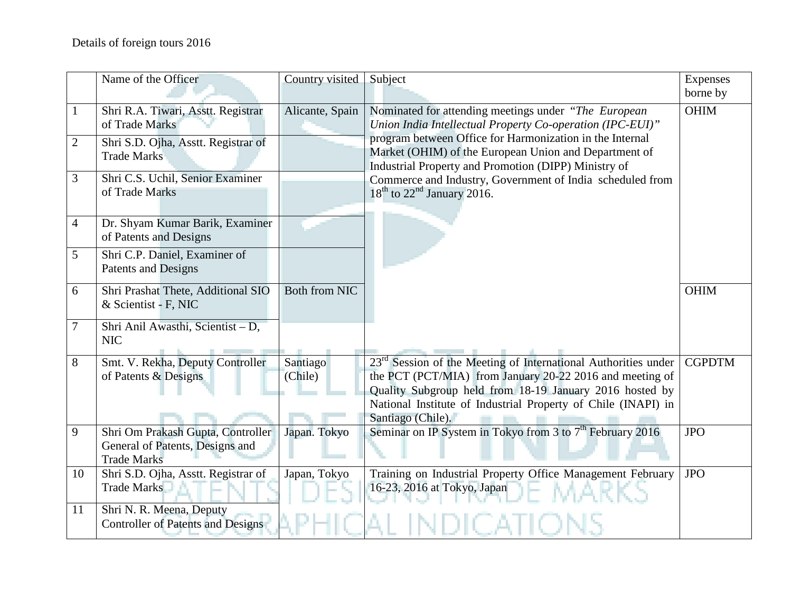|                | Name of the Officer                                                                        | Country visited      | Subject                                                                                                                                                                                                                                                                       | Expenses<br>borne by |
|----------------|--------------------------------------------------------------------------------------------|----------------------|-------------------------------------------------------------------------------------------------------------------------------------------------------------------------------------------------------------------------------------------------------------------------------|----------------------|
| $\mathbf{1}$   | Shri R.A. Tiwari, Asstt. Registrar<br>of Trade Marks                                       | Alicante, Spain      | Nominated for attending meetings under "The European"<br>Union India Intellectual Property Co-operation (IPC-EUI)"                                                                                                                                                            | <b>OHIM</b>          |
| $\overline{2}$ | Shri S.D. Ojha, Asstt. Registrar of<br><b>Trade Marks</b>                                  |                      | program between Office for Harmonization in the Internal<br>Market (OHIM) of the European Union and Department of<br>Industrial Property and Promotion (DIPP) Ministry of                                                                                                     |                      |
| 3              | Shri C.S. Uchil, Senior Examiner<br>of Trade Marks                                         |                      | Commerce and Industry, Government of India scheduled from<br>$18th$ to $22nd$ January 2016.                                                                                                                                                                                   |                      |
| $\overline{4}$ | Dr. Shyam Kumar Barik, Examiner<br>of Patents and Designs                                  |                      |                                                                                                                                                                                                                                                                               |                      |
| 5              | Shri C.P. Daniel, Examiner of<br><b>Patents and Designs</b>                                |                      |                                                                                                                                                                                                                                                                               |                      |
| 6              | Shri Prashat Thete, Additional SIO<br>& Scientist - F, NIC                                 | <b>Both from NIC</b> |                                                                                                                                                                                                                                                                               | <b>OHIM</b>          |
| $\tau$         | Shri Anil Awasthi, Scientist - D,<br><b>NIC</b>                                            |                      |                                                                                                                                                                                                                                                                               |                      |
| 8              | Smt. V. Rekha, Deputy Controller<br>of Patents & Designs                                   | Santiago<br>(Chile)  | $23rd$ Session of the Meeting of International Authorities under<br>the PCT (PCT/MIA) from January 20-22 2016 and meeting of<br>Quality Subgroup held from 18-19 January 2016 hosted by<br>National Institute of Industrial Property of Chile (INAPI) in<br>Santiago (Chile). | <b>CGPDTM</b>        |
| 9              | Shri Om Prakash Gupta, Controller<br>General of Patents, Designs and<br><b>Trade Marks</b> | Japan. Tokyo         | Seminar on IP System in Tokyo from $\overline{3}$ to $7^{\text{th}}$ February 2016                                                                                                                                                                                            | <b>JPO</b>           |
| 10             | Shri S.D. Ojha, Asstt. Registrar of<br><b>Trade Marks</b>                                  | Japan, Tokyo         | Training on Industrial Property Office Management February<br>16-23, 2016 at Tokyo, Japan                                                                                                                                                                                     | <b>JPO</b>           |
| 11             | Shri N. R. Meena, Deputy<br><b>Controller of Patents and Designs</b>                       |                      |                                                                                                                                                                                                                                                                               |                      |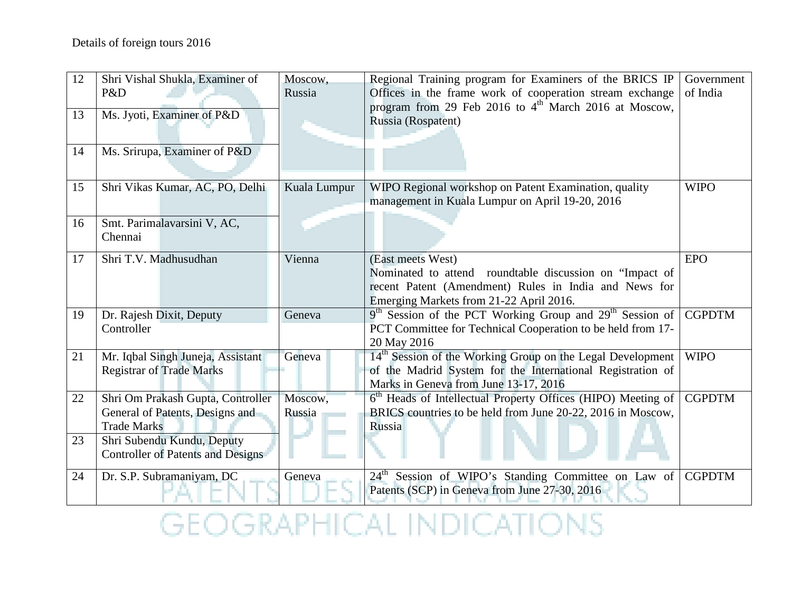| 12<br>13<br>14 | Shri Vishal Shukla, Examiner of<br>P&D<br>Ms. Jyoti, Examiner of P&D<br>Ms. Srirupa, Examiner of P&D | Moscow,<br>Russia | Regional Training program for Examiners of the BRICS IP<br>Offices in the frame work of cooperation stream exchange<br>program from 29 Feb 2016 to 4 <sup>th</sup> March 2016 at Moscow,<br>Russia (Rospatent) | Government<br>of India |
|----------------|------------------------------------------------------------------------------------------------------|-------------------|----------------------------------------------------------------------------------------------------------------------------------------------------------------------------------------------------------------|------------------------|
| 15             | Shri Vikas Kumar, AC, PO, Delhi                                                                      | Kuala Lumpur      | WIPO Regional workshop on Patent Examination, quality<br>management in Kuala Lumpur on April 19-20, 2016                                                                                                       | <b>WIPO</b>            |
| 16             | Smt. Parimalavarsini V, AC,<br>Chennai                                                               |                   |                                                                                                                                                                                                                |                        |
| 17             | Shri T.V. Madhusudhan                                                                                | Vienna            | (East meets West)<br>Nominated to attend roundtable discussion on "Impact of<br>recent Patent (Amendment) Rules in India and News for<br>Emerging Markets from 21-22 April 2016.                               | <b>EPO</b>             |
| 19             | Dr. Rajesh Dixit, Deputy<br>Controller                                                               | Geneva            | 9 <sup>th</sup> Session of the PCT Working Group and 29 <sup>th</sup> Session of<br>PCT Committee for Technical Cooperation to be held from 17-<br>20 May 2016                                                 | <b>CGPDTM</b>          |
| 21             | Mr. Iqbal Singh Juneja, Assistant<br><b>Registrar of Trade Marks</b>                                 | Geneva            | 14 <sup>th</sup> Session of the Working Group on the Legal Development<br>of the Madrid System for the International Registration of<br>Marks in Geneva from June 13-17, 2016                                  | <b>WIPO</b>            |
| 22             | Shri Om Prakash Gupta, Controller<br>General of Patents, Designs and<br><b>Trade Marks</b>           | Moscow,<br>Russia | 6 <sup>th</sup> Heads of Intellectual Property Offices (HIPO) Meeting of<br>BRICS countries to be held from June 20-22, 2016 in Moscow,<br>Russia                                                              | <b>CGPDTM</b>          |
| 23             | Shri Subendu Kundu, Deputy<br><b>Controller of Patents and Designs</b>                               |                   |                                                                                                                                                                                                                |                        |
| 24             | Dr. S.P. Subramaniyam, DC                                                                            | Geneva            | 24 <sup>th</sup> Session of WIPO's Standing Committee on Law of<br>Patents (SCP) in Geneva from June 27-30, 2016                                                                                               | <b>CGPDTM</b>          |

**GEOGRAPHICAL INDICATIONS**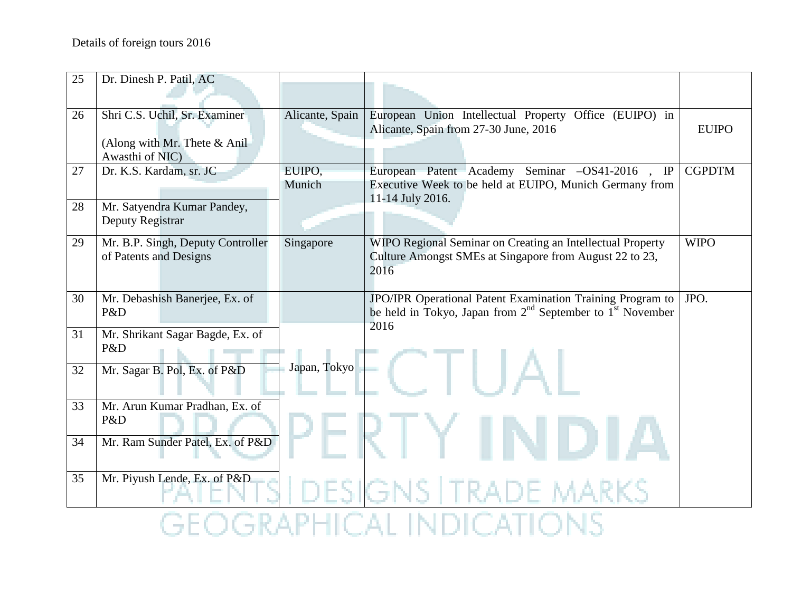| 25 | Dr. Dinesh P. Patil, AC                                                            |                  |                                                                                                                                    |               |
|----|------------------------------------------------------------------------------------|------------------|------------------------------------------------------------------------------------------------------------------------------------|---------------|
| 26 | Shri C.S. Uchil, Sr. Examiner<br>(Along with Mr. Thete $&$ Anil<br>Awasthi of NIC) | Alicante, Spain  | European Union Intellectual Property Office (EUIPO) in<br>Alicante, Spain from 27-30 June, 2016                                    | <b>EUIPO</b>  |
| 27 | Dr. K.S. Kardam, sr. JC                                                            | EUIPO,<br>Munich | European Patent Academy Seminar -OS41-2016, IP<br>Executive Week to be held at EUIPO, Munich Germany from<br>11-14 July 2016.      | <b>CGPDTM</b> |
| 28 | Mr. Satyendra Kumar Pandey,<br>Deputy Registrar                                    |                  |                                                                                                                                    |               |
| 29 | Mr. B.P. Singh, Deputy Controller<br>of Patents and Designs                        | Singapore        | WIPO Regional Seminar on Creating an Intellectual Property<br>Culture Amongst SMEs at Singapore from August 22 to 23,<br>2016      | <b>WIPO</b>   |
| 30 | Mr. Debashish Banerjee, Ex. of<br>P&D                                              |                  | JPO/IPR Operational Patent Examination Training Program to<br>be held in Tokyo, Japan from $2^{nd}$ September to $1^{st}$ November | JPO.          |
| 31 | Mr. Shrikant Sagar Bagde, Ex. of<br>P&D                                            |                  | 2016                                                                                                                               |               |
| 32 | Mr. Sagar B. Pol, Ex. of P&D                                                       | Japan, Tokyo     |                                                                                                                                    |               |
| 33 | Mr. Arun Kumar Pradhan, Ex. of<br>P&D                                              |                  |                                                                                                                                    |               |
| 34 | Mr. Ram Sunder Patel, Ex. of P&D                                                   |                  |                                                                                                                                    |               |
| 35 | Mr. Piyush Lende, Ex. of P&D                                                       |                  |                                                                                                                                    |               |
|    |                                                                                    |                  |                                                                                                                                    |               |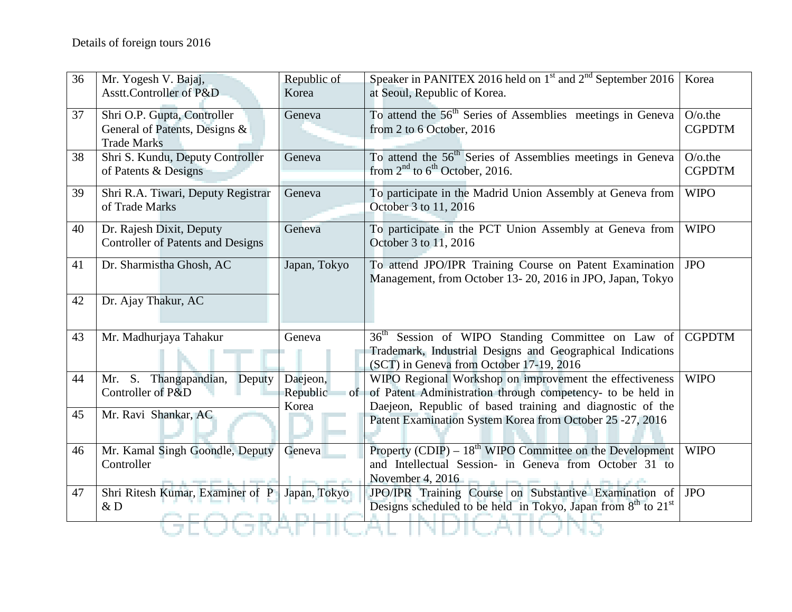| 36 | Mr. Yogesh V. Bajaj,<br>Asstt.Controller of P&D                                    | Republic of<br>Korea                | Speaker in PANITEX 2016 held on 1 <sup>st</sup> and 2 <sup>nd</sup> September 2016<br>at Seoul, Republic of Korea.                                                                 | Korea                       |
|----|------------------------------------------------------------------------------------|-------------------------------------|------------------------------------------------------------------------------------------------------------------------------------------------------------------------------------|-----------------------------|
| 37 | Shri O.P. Gupta, Controller<br>General of Patents, Designs &<br><b>Trade Marks</b> | Geneva                              | To attend the 56 <sup>th</sup> Series of Assemblies meetings in Geneva<br>from 2 to 6 October, 2016                                                                                | $O$ /o.the<br><b>CGPDTM</b> |
| 38 | Shri S. Kundu, Deputy Controller<br>of Patents & Designs                           | Geneva                              | To attend the 56 <sup>th</sup> Series of Assemblies meetings in Geneva<br>from $2nd$ to 6 <sup>th</sup> October, 2016.                                                             | $O$ /o.the<br><b>CGPDTM</b> |
| 39 | Shri R.A. Tiwari, Deputy Registrar<br>of Trade Marks                               | Geneva                              | To participate in the Madrid Union Assembly at Geneva from<br>October 3 to 11, 2016                                                                                                | <b>WIPO</b>                 |
| 40 | Dr. Rajesh Dixit, Deputy<br><b>Controller of Patents and Designs</b>               | Geneva                              | To participate in the PCT Union Assembly at Geneva from<br>October 3 to 11, 2016                                                                                                   | <b>WIPO</b>                 |
| 41 | Dr. Sharmistha Ghosh, AC                                                           | Japan, Tokyo                        | To attend JPO/IPR Training Course on Patent Examination<br>Management, from October 13-20, 2016 in JPO, Japan, Tokyo                                                               | <b>JPO</b>                  |
| 42 | Dr. Ajay Thakur, AC                                                                |                                     |                                                                                                                                                                                    |                             |
| 43 | Mr. Madhurjaya Tahakur                                                             | Geneva                              | $36^{\text{th}}$<br>Session of WIPO Standing Committee on Law of<br>Trademark, Industrial Designs and Geographical Indications<br>(SCT) in Geneva from October 17-19, 2016         | <b>CGPDTM</b>               |
| 44 | Mr. S. Thangapandian, Deputy<br>Controller of P&D                                  | Daejeon,<br>Republic<br>of<br>Korea | WIPO Regional Workshop on improvement the effectiveness<br>of Patent Administration through competency- to be held in<br>Daejeon, Republic of based training and diagnostic of the | <b>WIPO</b>                 |
| 45 | Mr. Ravi Shankar, AC                                                               |                                     | Patent Examination System Korea from October 25 -27, 2016                                                                                                                          |                             |
| 46 | Mr. Kamal Singh Goondle, Deputy<br>Controller                                      | Geneva                              | Property (CDIP) – $18th$ WIPO Committee on the Development<br>and Intellectual Session- in Geneva from October 31 to<br>November 4, 2016                                           | <b>WIPO</b>                 |
| 47 | Shri Ritesh Kumar, Examiner of P<br>&D                                             | Japan, Tokyo                        | JPO/IPR Training Course on Substantive Examination of<br>Designs scheduled to be held in Tokyo, Japan from $8th$ to $21st$                                                         | <b>JPO</b>                  |
|    |                                                                                    |                                     |                                                                                                                                                                                    |                             |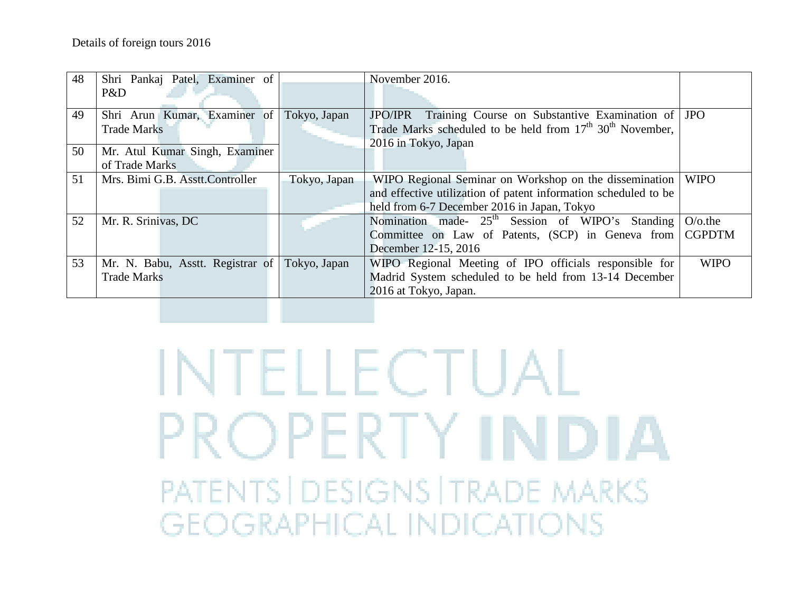| 48 | Shri Pankaj Patel, Examiner of            |              | November 2016.                                                                    |               |
|----|-------------------------------------------|--------------|-----------------------------------------------------------------------------------|---------------|
|    | P&D                                       |              |                                                                                   |               |
| 49 | Shri Arun Kumar, Examiner of Tokyo, Japan |              | JPO/IPR Training Course on Substantive Examination of JPO                         |               |
|    | <b>Trade Marks</b>                        |              | Trade Marks scheduled to be held from 17 <sup>th</sup> 30 <sup>th</sup> November, |               |
| 50 | Mr. Atul Kumar Singh, Examiner            |              | 2016 in Tokyo, Japan                                                              |               |
|    | of Trade Marks                            |              |                                                                                   |               |
| 51 | Mrs. Bimi G.B. Asstt.Controller           |              |                                                                                   |               |
|    |                                           | Tokyo, Japan | WIPO Regional Seminar on Workshop on the dissemination                            | <b>WIPO</b>   |
|    |                                           |              | and effective utilization of patent information scheduled to be                   |               |
|    |                                           |              | held from 6-7 December 2016 in Japan, Tokyo                                       |               |
| 52 | Mr. R. Srinivas, DC                       |              | Nomination made- 25 <sup>th</sup> Session of WIPO's Standing                      | $O$ /o.the    |
|    |                                           |              | Committee on Law of Patents, (SCP) in Geneva from                                 | <b>CGPDTM</b> |
|    |                                           |              | December 12-15, 2016                                                              |               |
| 53 | Mr. N. Babu, Asstt. Registrar of          | Tokyo, Japan | WIPO Regional Meeting of IPO officials responsible for                            | <b>WIPO</b>   |
|    | <b>Trade Marks</b>                        |              | Madrid System scheduled to be held from 13-14 December                            |               |
|    |                                           |              | 2016 at Tokyo, Japan.                                                             |               |
|    |                                           |              |                                                                                   |               |

# **INTELLECTUAL** PROPERTY INDIA PATENTS | DESIGNS | TRADE MARKS **GEOGRAPHICAL INDICATIONS**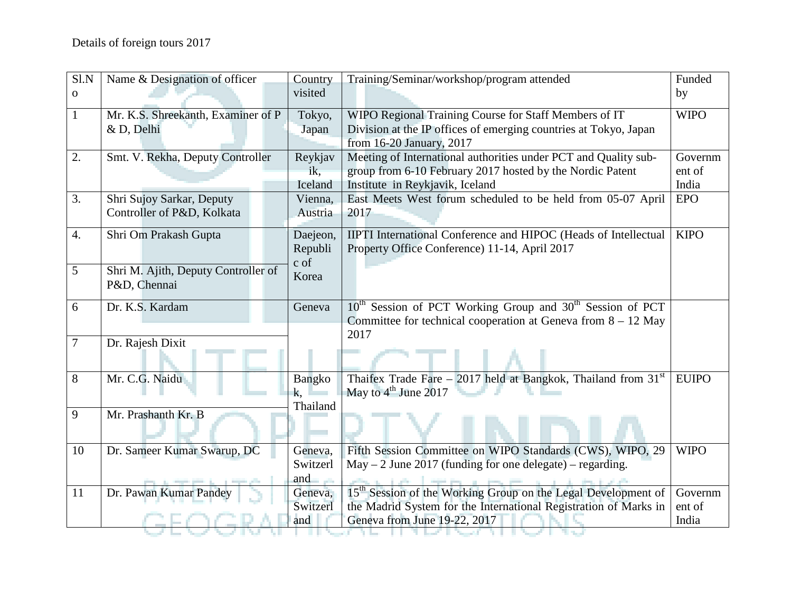| $\overline{S}$ I.N | Name & Designation of officer       | Country       | Training/Seminar/workshop/program attended                                        | Funded       |
|--------------------|-------------------------------------|---------------|-----------------------------------------------------------------------------------|--------------|
| $\mathbf{O}$       |                                     | visited       |                                                                                   | by           |
| 1                  | Mr. K.S. Shreekanth, Examiner of P  | Tokyo,        | WIPO Regional Training Course for Staff Members of IT                             | <b>WIPO</b>  |
|                    | & D, Delhi                          | Japan         | Division at the IP offices of emerging countries at Tokyo, Japan                  |              |
|                    |                                     |               | from 16-20 January, 2017                                                          |              |
| 2.                 | Smt. V. Rekha, Deputy Controller    | Reykjav       | Meeting of International authorities under PCT and Quality sub-                   | Governm      |
|                    |                                     | ik,           | group from 6-10 February 2017 hosted by the Nordic Patent                         | ent of       |
|                    |                                     | Iceland       | Institute in Reykjavik, Iceland                                                   | India        |
| 3.                 | Shri Sujoy Sarkar, Deputy           | Vienna,       | East Meets West forum scheduled to be held from 05-07 April                       | <b>EPO</b>   |
|                    | Controller of P&D, Kolkata          | Austria       | 2017                                                                              |              |
| 4.                 | Shri Om Prakash Gupta               | Daejeon,      | IIPTI International Conference and HIPOC (Heads of Intellectual                   | <b>KIPO</b>  |
|                    |                                     | Republi       | Property Office Conference) 11-14, April 2017                                     |              |
|                    |                                     | c of          |                                                                                   |              |
| 5                  | Shri M. Ajith, Deputy Controller of | Korea         |                                                                                   |              |
|                    | P&D, Chennai                        |               |                                                                                   |              |
| 6                  | Dr. K.S. Kardam                     | Geneva        | 10 <sup>th</sup> Session of PCT Working Group and 30 <sup>th</sup> Session of PCT |              |
|                    |                                     |               | Committee for technical cooperation at Geneva from $8 - 12$ May                   |              |
|                    |                                     |               | 2017                                                                              |              |
| 7                  | Dr. Rajesh Dixit                    |               |                                                                                   |              |
|                    |                                     |               |                                                                                   |              |
| 8                  | Mr. C.G. Naidu                      | <b>Bangko</b> | Thaifex Trade Fare – 2017 held at Bangkok, Thailand from $31st$                   | <b>EUIPO</b> |
|                    |                                     | k,            | May to $4^{\text{th}}$ June 2017                                                  |              |
|                    |                                     | Thailand      |                                                                                   |              |
| 9                  | Mr. Prashanth Kr. B                 |               |                                                                                   |              |
|                    |                                     |               |                                                                                   |              |
| 10                 | Dr. Sameer Kumar Swarup, DC         | Geneva,       | Fifth Session Committee on WIPO Standards (CWS), WIPO, 29                         | <b>WIPO</b>  |
|                    |                                     | Switzerl      | $May - 2 June 2017$ (funding for one delegate) – regarding.                       |              |
|                    |                                     | and           |                                                                                   |              |
| 11                 | Dr. Pawan Kumar Pandey              | Geneva,       | 15 <sup>th</sup> Session of the Working Group on the Legal Development of         | Governm      |
|                    |                                     | Switzerl      | the Madrid System for the International Registration of Marks in                  | ent of       |
|                    |                                     | and           | Geneva from June 19-22, 2017                                                      | India        |
|                    |                                     |               |                                                                                   |              |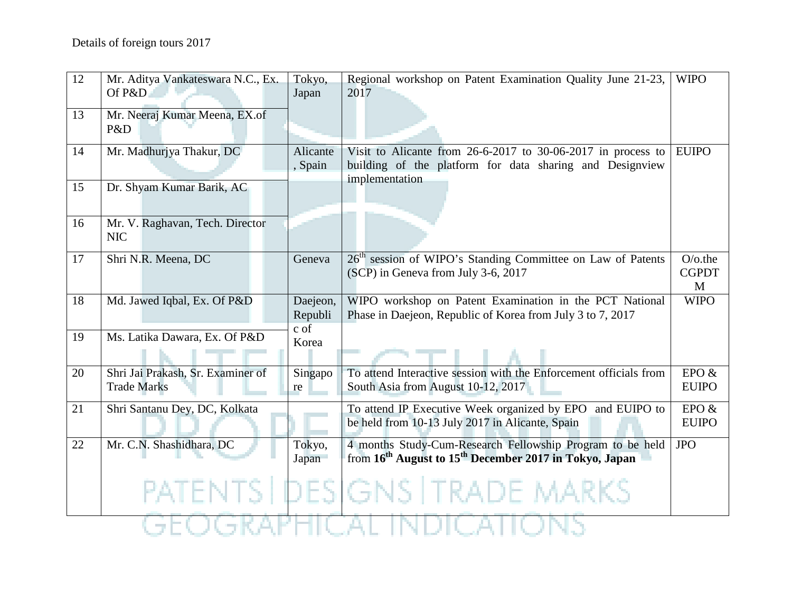| 12 | Mr. Aditya Vankateswara N.C., Ex.             | Tokyo,          | Regional workshop on Patent Examination Quality June 21-23,                                                                                 | <b>WIPO</b>       |  |
|----|-----------------------------------------------|-----------------|---------------------------------------------------------------------------------------------------------------------------------------------|-------------------|--|
|    | Of P&D                                        | Japan           | 2017                                                                                                                                        |                   |  |
| 13 | Mr. Neeraj Kumar Meena, EX.of<br>P&D          |                 |                                                                                                                                             |                   |  |
| 14 | Mr. Madhurjya Thakur, DC                      | Alicante        | Visit to Alicante from $26-6-2017$ to 30-06-2017 in process to                                                                              | <b>EUIPO</b>      |  |
|    |                                               | , Spain         | building of the platform for data sharing and Designview                                                                                    |                   |  |
| 15 | Dr. Shyam Kumar Barik, AC                     |                 | implementation                                                                                                                              |                   |  |
| 16 | Mr. V. Raghavan, Tech. Director<br><b>NIC</b> |                 |                                                                                                                                             |                   |  |
| 17 | Shri N.R. Meena, DC                           | Geneva          | 26 <sup>th</sup> session of WIPO's Standing Committee on Law of Patents                                                                     | $O$ /o.the        |  |
|    |                                               |                 | (SCP) in Geneva from July 3-6, 2017                                                                                                         | <b>CGPDT</b><br>M |  |
| 18 | Md. Jawed Iqbal, Ex. Of P&D                   | Daejeon,        | WIPO workshop on Patent Examination in the PCT National                                                                                     | <b>WIPO</b>       |  |
|    |                                               | Republi<br>c of | Phase in Daejeon, Republic of Korea from July 3 to 7, 2017                                                                                  |                   |  |
| 19 | Ms. Latika Dawara, Ex. Of P&D                 | Korea           |                                                                                                                                             |                   |  |
|    |                                               |                 |                                                                                                                                             |                   |  |
| 20 | Shri Jai Prakash, Sr. Examiner of             | Singapo         | To attend Interactive session with the Enforcement officials from                                                                           | EPO $&$           |  |
|    | <b>Trade Marks</b>                            | re              | South Asia from August 10-12, 2017                                                                                                          | <b>EUIPO</b>      |  |
| 21 | Shri Santanu Dey, DC, Kolkata                 |                 | To attend IP Executive Week organized by EPO and EUIPO to                                                                                   | EPO $&$           |  |
|    |                                               |                 | be held from 10-13 July 2017 in Alicante, Spain                                                                                             | <b>EUIPO</b>      |  |
| 22 | Mr. C.N. Shashidhara, DC                      | Tokyo,<br>Japan | 4 months Study-Cum-Research Fellowship Program to be held<br>from 16 <sup>th</sup> August to 15 <sup>th</sup> December 2017 in Tokyo, Japan | <b>JPO</b>        |  |
|    |                                               |                 | PATENTS   DESIGNS   TRADE MARKS                                                                                                             |                   |  |
|    |                                               |                 |                                                                                                                                             |                   |  |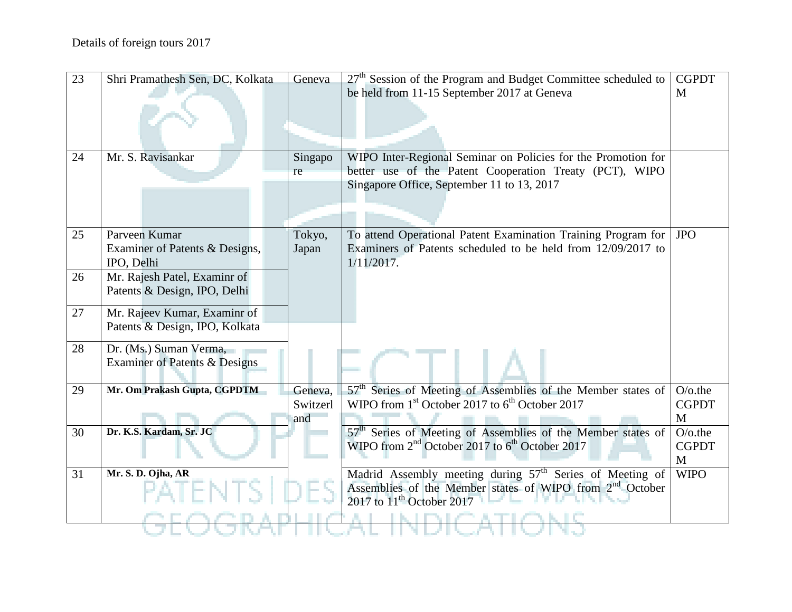| $\overline{23}$ | Shri Pramathesh Sen, DC, Kolkata                             | Geneva   | $27th$ Session of the Program and Budget Committee scheduled to          | <b>CGPDT</b>    |
|-----------------|--------------------------------------------------------------|----------|--------------------------------------------------------------------------|-----------------|
|                 |                                                              |          | be held from 11-15 September 2017 at Geneva                              | M               |
|                 |                                                              |          |                                                                          |                 |
|                 |                                                              |          |                                                                          |                 |
|                 |                                                              |          |                                                                          |                 |
| 24              | Mr. S. Ravisankar                                            | Singapo  | WIPO Inter-Regional Seminar on Policies for the Promotion for            |                 |
|                 |                                                              | re       | better use of the Patent Cooperation Treaty (PCT), WIPO                  |                 |
|                 |                                                              |          | Singapore Office, September 11 to 13, 2017                               |                 |
|                 |                                                              |          |                                                                          |                 |
|                 |                                                              |          |                                                                          |                 |
| 25              | Parveen Kumar                                                | Tokyo,   | To attend Operational Patent Examination Training Program for            | <b>JPO</b>      |
|                 | Examiner of Patents & Designs,                               | Japan    | Examiners of Patents scheduled to be held from 12/09/2017 to             |                 |
|                 | IPO, Delhi                                                   |          | $1/11/2017$ .                                                            |                 |
| 26              | Mr. Rajesh Patel, Examinr of<br>Patents & Design, IPO, Delhi |          |                                                                          |                 |
|                 |                                                              |          |                                                                          |                 |
| 27              | Mr. Rajeev Kumar, Examinr of                                 |          |                                                                          |                 |
|                 | Patents & Design, IPO, Kolkata                               |          |                                                                          |                 |
| 28              | Dr. (Ms.) Suman Verma,                                       |          |                                                                          |                 |
|                 | Examiner of Patents & Designs                                |          |                                                                          |                 |
|                 |                                                              |          |                                                                          |                 |
| 29              | Mr. Om Prakash Gupta, CGPDTM                                 | Geneva,  | 57 <sup>th</sup> Series of Meeting of Assemblies of the Member states of | $O$ /o.the      |
|                 |                                                              | Switzerl | WIPO from $1st$ October 2017 to $6th$ October 2017                       | <b>CGPDT</b>    |
| 30              | Dr. K.S. Kardam, Sr. JC                                      | and      | 57 <sup>th</sup> Series of Meeting of Assemblies of the Member states of | M<br>$O$ /o.the |
|                 |                                                              |          | WIPO from 2 <sup>nd</sup> October 2017 to 6 <sup>th</sup> October 2017   | <b>CGPDT</b>    |
|                 |                                                              |          |                                                                          | M               |
| 31              | Mr. S. D. Ojha, AR                                           |          | Madrid Assembly meeting during 57 <sup>th</sup> Series of Meeting of     | <b>WIPO</b>     |
|                 |                                                              |          | Assemblies of the Member states of WIPO from 2 <sup>nd</sup> October     |                 |
|                 |                                                              |          | 2017 to $11th$ October 2017                                              |                 |
|                 |                                                              |          |                                                                          |                 |
|                 |                                                              |          |                                                                          |                 |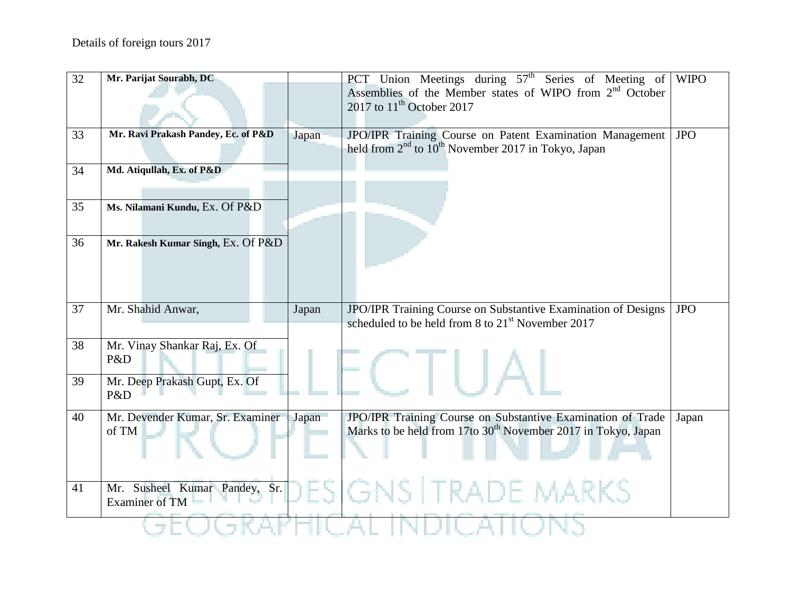| 32 | Mr. Parijat Sourabh, DC                                |       | PCT Union Meetings during $57th$ Series of Meeting of                                                                          | <b>WIPO</b> |
|----|--------------------------------------------------------|-------|--------------------------------------------------------------------------------------------------------------------------------|-------------|
|    |                                                        |       | Assemblies of the Member states of WIPO from 2 <sup>nd</sup> October                                                           |             |
|    |                                                        |       | 2017 to 11 <sup>th</sup> October 2017                                                                                          |             |
| 33 | Mr. Ravi Prakash Pandey, Ec. of P&D                    | Japan | JPO/IPR Training Course on Patent Examination Management                                                                       | <b>JPO</b>  |
|    |                                                        |       | held from $2^{nd}$ to $10^{th}$ November 2017 in Tokyo, Japan                                                                  |             |
| 34 | Md. Atiqullah, Ex. of P&D                              |       |                                                                                                                                |             |
|    |                                                        |       |                                                                                                                                |             |
| 35 | Ms. Nilamani Kundu, Ex. Of P&D                         |       |                                                                                                                                |             |
|    |                                                        |       |                                                                                                                                |             |
| 36 | Mr. Rakesh Kumar Singh, Ex. Of P&D                     |       |                                                                                                                                |             |
|    |                                                        |       |                                                                                                                                |             |
|    |                                                        |       |                                                                                                                                |             |
|    |                                                        |       |                                                                                                                                |             |
| 37 | Mr. Shahid Anwar,                                      | Japan | JPO/IPR Training Course on Substantive Examination of Designs<br>scheduled to be held from 8 to 21 <sup>st</sup> November 2017 | <b>JPO</b>  |
|    |                                                        |       |                                                                                                                                |             |
| 38 | Mr. Vinay Shankar Raj, Ex. Of<br>P&D                   |       |                                                                                                                                |             |
|    |                                                        |       |                                                                                                                                |             |
| 39 | Mr. Deep Prakash Gupt, Ex. Of<br>P&D                   |       |                                                                                                                                |             |
|    |                                                        |       |                                                                                                                                |             |
| 40 |                                                        |       |                                                                                                                                |             |
|    | Mr. Devender Kumar, Sr. Examiner                       | Japan | JPO/IPR Training Course on Substantive Examination of Trade                                                                    | Japan       |
|    | of TM                                                  |       | Marks to be held from 17to 30 <sup>th</sup> November 2017 in Tokyo, Japan                                                      |             |
|    |                                                        |       |                                                                                                                                |             |
|    |                                                        |       |                                                                                                                                |             |
| 41 | Mr. Susheel Kumar Pandey, Sr.<br><b>Examiner of TM</b> |       | <b>DESIGNS   TRADE MARKS</b>                                                                                                   |             |
|    |                                                        |       |                                                                                                                                |             |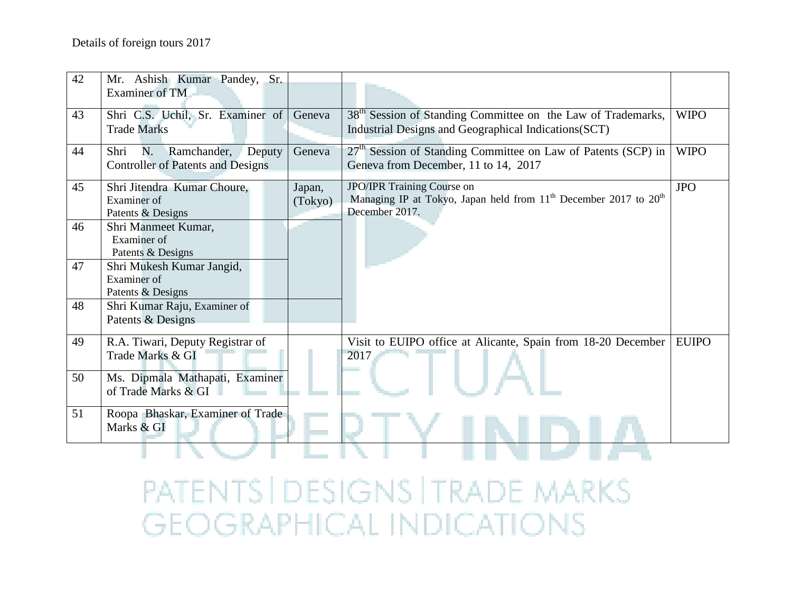| 42 | Mr. Ashish Kumar Pandey, Sr.<br>Examiner of TM                                  |                   |                                                                                                                                   |              |
|----|---------------------------------------------------------------------------------|-------------------|-----------------------------------------------------------------------------------------------------------------------------------|--------------|
| 43 | Shri C.S. Uchil, Sr. Examiner of<br><b>Trade Marks</b>                          | Geneva            | 38 <sup>th</sup> Session of Standing Committee on the Law of Trademarks,<br>Industrial Designs and Geographical Indications (SCT) | <b>WIPO</b>  |
| 44 | Ramchander,<br>Deputy<br>Shri<br>N.<br><b>Controller of Patents and Designs</b> | Geneva            | $27th$ Session of Standing Committee on Law of Patents (SCP) in<br>Geneva from December, 11 to 14, 2017                           | <b>WIPO</b>  |
| 45 | Shri Jitendra Kumar Choure,<br>Examiner of<br>Patents & Designs                 | Japan,<br>(Tokyo) | JPO/IPR Training Course on<br>Managing IP at Tokyo, Japan held from $11th$ December 2017 to $20th$<br>December 2017.              | <b>JPO</b>   |
| 46 | Shri Manmeet Kumar,<br>Examiner of<br>Patents & Designs                         |                   |                                                                                                                                   |              |
| 47 | Shri Mukesh Kumar Jangid,<br>Examiner of<br>Patents & Designs                   |                   |                                                                                                                                   |              |
| 48 | Shri Kumar Raju, Examiner of<br>Patents & Designs                               |                   |                                                                                                                                   |              |
| 49 | R.A. Tiwari, Deputy Registrar of<br>Trade Marks & GI                            |                   | Visit to EUIPO office at Alicante, Spain from 18-20 December<br>2017                                                              | <b>EUIPO</b> |
| 50 | Ms. Dipmala Mathapati, Examiner<br>of Trade Marks & GI                          |                   |                                                                                                                                   |              |
| 51 | Roopa Bhaskar, Examiner of Trade<br>Marks & GI                                  |                   |                                                                                                                                   |              |
|    |                                                                                 |                   |                                                                                                                                   |              |

PATENTS | DESIGNS | TRADE MARKS **GEOGRAPHICAL INDICATIONS**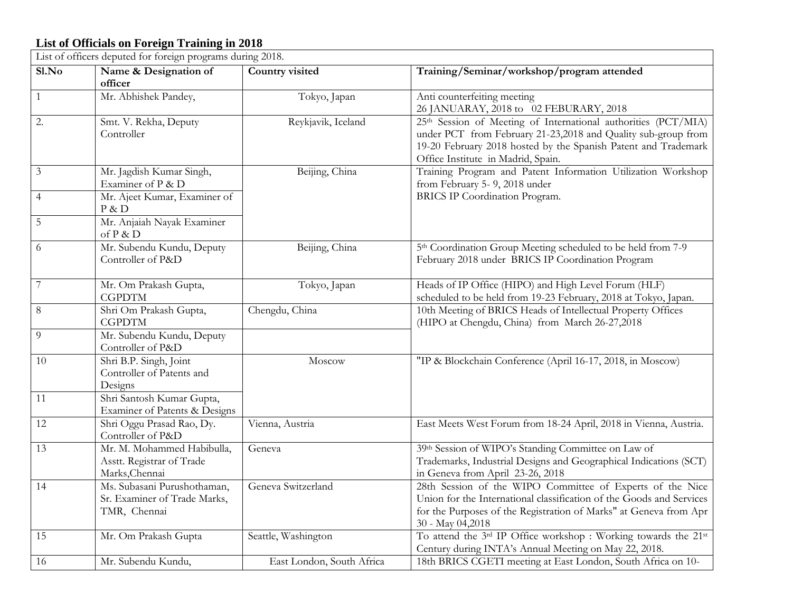#### **List of Officials on Foreign Training in 2018**

|                | List of officers deputed for foreign programs during 2018.                  |                           |                                                                                                                                                                                                                                                     |  |  |  |  |  |  |
|----------------|-----------------------------------------------------------------------------|---------------------------|-----------------------------------------------------------------------------------------------------------------------------------------------------------------------------------------------------------------------------------------------------|--|--|--|--|--|--|
| S1.No          | Name & Designation of<br>officer                                            | Country visited           | Training/Seminar/workshop/program attended                                                                                                                                                                                                          |  |  |  |  |  |  |
| $\mathbf{1}$   | Mr. Abhishek Pandey,                                                        | Tokyo, Japan              | Anti counterfeiting meeting<br>26 JANUARAY, 2018 to 02 FEBURARY, 2018                                                                                                                                                                               |  |  |  |  |  |  |
| 2.             | Smt. V. Rekha, Deputy<br>Controller                                         | Reykjavik, Iceland        | 25 <sup>th</sup> Session of Meeting of International authorities (PCT/MIA)<br>under PCT from February 21-23,2018 and Quality sub-group from<br>19-20 February 2018 hosted by the Spanish Patent and Trademark<br>Office Institute in Madrid, Spain. |  |  |  |  |  |  |
| $\mathfrak{Z}$ | Mr. Jagdish Kumar Singh,<br>Examiner of P & D                               | Beijing, China            | Training Program and Patent Information Utilization Workshop<br>from February 5- 9, 2018 under                                                                                                                                                      |  |  |  |  |  |  |
| $\overline{4}$ | Mr. Ajeet Kumar, Examiner of<br>P & D                                       |                           | BRICS IP Coordination Program.                                                                                                                                                                                                                      |  |  |  |  |  |  |
| 5              | Mr. Anjaiah Nayak Examiner<br>of P & D                                      |                           |                                                                                                                                                                                                                                                     |  |  |  |  |  |  |
| 6              | Mr. Subendu Kundu, Deputy<br>Controller of P&D                              | Beijing, China            | 5 <sup>th</sup> Coordination Group Meeting scheduled to be held from 7-9<br>February 2018 under BRICS IP Coordination Program                                                                                                                       |  |  |  |  |  |  |
| $\overline{7}$ | Mr. Om Prakash Gupta,<br><b>CGPDTM</b>                                      | Tokyo, Japan              | Heads of IP Office (HIPO) and High Level Forum (HLF)<br>scheduled to be held from 19-23 February, 2018 at Tokyo, Japan.                                                                                                                             |  |  |  |  |  |  |
| 8              | Shri Om Prakash Gupta,<br><b>CGPDTM</b>                                     | Chengdu, China            | 10th Meeting of BRICS Heads of Intellectual Property Offices<br>(HIPO at Chengdu, China) from March 26-27,2018                                                                                                                                      |  |  |  |  |  |  |
| 9              | Mr. Subendu Kundu, Deputy<br>Controller of P&D                              |                           |                                                                                                                                                                                                                                                     |  |  |  |  |  |  |
| 10             | Shri B.P. Singh, Joint<br>Controller of Patents and<br>Designs              | Moscow                    | "IP & Blockchain Conference (April 16-17, 2018, in Moscow)                                                                                                                                                                                          |  |  |  |  |  |  |
| 11             | Shri Santosh Kumar Gupta,<br>Examiner of Patents & Designs                  |                           |                                                                                                                                                                                                                                                     |  |  |  |  |  |  |
| 12             | Shri Oggu Prasad Rao, Dy.<br>Controller of P&D                              | Vienna, Austria           | East Meets West Forum from 18-24 April, 2018 in Vienna, Austria.                                                                                                                                                                                    |  |  |  |  |  |  |
| 13             | Mr. M. Mohammed Habibulla,<br>Asstt. Registrar of Trade<br>Marks, Chennai   | Geneva                    | 39th Session of WIPO's Standing Committee on Law of<br>Trademarks, Industrial Designs and Geographical Indications (SCT)<br>in Geneva from April 23-26, 2018                                                                                        |  |  |  |  |  |  |
| 14             | Ms. Subasani Purushothaman,<br>Sr. Examiner of Trade Marks,<br>TMR, Chennai | Geneva Switzerland        | 28th Session of the WIPO Committee of Experts of the Nice<br>Union for the International classification of the Goods and Services<br>for the Purposes of the Registration of Marks" at Geneva from Apr<br>30 - May 04,2018                          |  |  |  |  |  |  |
| 15             | Mr. Om Prakash Gupta                                                        | Seattle, Washington       | To attend the 3rd IP Office workshop : Working towards the 21st<br>Century during INTA's Annual Meeting on May 22, 2018.                                                                                                                            |  |  |  |  |  |  |
| 16             | Mr. Subendu Kundu,                                                          | East London, South Africa | 18th BRICS CGETI meeting at East London, South Africa on 10-                                                                                                                                                                                        |  |  |  |  |  |  |

┑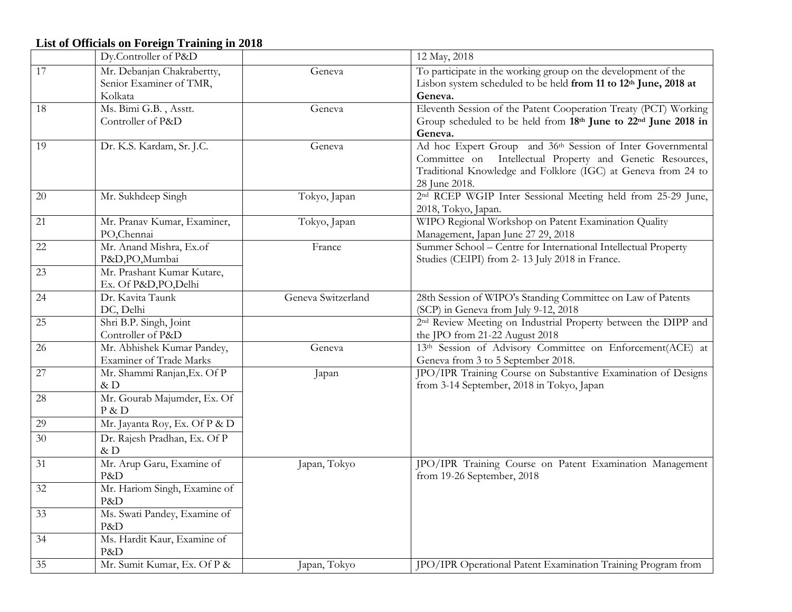### **List of Officials on Foreign Training in 2018**

|        | Dy.Controller of P&D                                             |                    | 12 May, 2018                                                                                                                                                                                              |
|--------|------------------------------------------------------------------|--------------------|-----------------------------------------------------------------------------------------------------------------------------------------------------------------------------------------------------------|
| 17     | Mr. Debanjan Chakrabertty,<br>Senior Examiner of TMR,<br>Kolkata | Geneva             | To participate in the working group on the development of the<br>Lisbon system scheduled to be held from 11 to 12th June, 2018 at<br>Geneva.                                                              |
| 18     | Ms. Bimi G.B., Asstt.<br>Controller of P&D                       | Geneva             | Eleventh Session of the Patent Cooperation Treaty (PCT) Working<br>Group scheduled to be held from 18th June to 22nd June 2018 in<br>Geneva.                                                              |
| 19     | Dr. K.S. Kardam, Sr. J.C.                                        | Geneva             | Ad hoc Expert Group and 36th Session of Inter Governmental<br>Committee on Intellectual Property and Genetic Resources,<br>Traditional Knowledge and Folklore (IGC) at Geneva from 24 to<br>28 June 2018. |
| 20     | Mr. Sukhdeep Singh                                               | Tokyo, Japan       | 2 <sup>nd</sup> RCEP WGIP Inter Sessional Meeting held from 25-29 June,<br>2018, Tokyo, Japan.                                                                                                            |
| 21     | Mr. Pranav Kumar, Examiner,<br>PO,Chennai                        | Tokyo, Japan       | WIPO Regional Workshop on Patent Examination Quality<br>Management, Japan June 27 29, 2018                                                                                                                |
| 22     | Mr. Anand Mishra, Ex.of<br>P&D,PO,Mumbai                         | France             | Summer School - Centre for International Intellectual Property<br>Studies (CEIPI) from 2-13 July 2018 in France.                                                                                          |
| 23     | Mr. Prashant Kumar Kutare,<br>Ex. Of P&D, PO, Delhi              |                    |                                                                                                                                                                                                           |
| 24     | Dr. Kavita Taunk<br>DC, Delhi                                    | Geneva Switzerland | 28th Session of WIPO's Standing Committee on Law of Patents<br>(SCP) in Geneva from July 9-12, 2018                                                                                                       |
| 25     | Shri B.P. Singh, Joint<br>Controller of P&D                      |                    | 2 <sup>nd</sup> Review Meeting on Industrial Property between the DIPP and<br>the JPO from 21-22 August 2018                                                                                              |
| 26     | Mr. Abhishek Kumar Pandey,<br>Examiner of Trade Marks            | Geneva             | 13th Session of Advisory Committee on Enforcement(ACE) at<br>Geneva from 3 to 5 September 2018.                                                                                                           |
| $27\,$ | Mr. Shammi Ranjan, Ex. Of P<br>&D                                | Japan              | JPO/IPR Training Course on Substantive Examination of Designs<br>from 3-14 September, 2018 in Tokyo, Japan                                                                                                |
| $28\,$ | Mr. Gourab Majumder, Ex. Of<br>$P \& D$                          |                    |                                                                                                                                                                                                           |
| 29     | Mr. Jayanta Roy, Ex. Of P & D                                    |                    |                                                                                                                                                                                                           |
| 30     | Dr. Rajesh Pradhan, Ex. Of P<br>&D                               |                    |                                                                                                                                                                                                           |
| 31     | Mr. Arup Garu, Examine of<br>P&D                                 | Japan, Tokyo       | JPO/IPR Training Course on Patent Examination Management<br>from 19-26 September, 2018                                                                                                                    |
| 32     | Mr. Hariom Singh, Examine of<br>P&D                              |                    |                                                                                                                                                                                                           |
| 33     | Ms. Swati Pandey, Examine of<br>P&D                              |                    |                                                                                                                                                                                                           |
| 34     | Ms. Hardit Kaur, Examine of<br>P&D                               |                    |                                                                                                                                                                                                           |
| 35     | Mr. Sumit Kumar, Ex. Of P &                                      | Japan, Tokyo       | JPO/IPR Operational Patent Examination Training Program from                                                                                                                                              |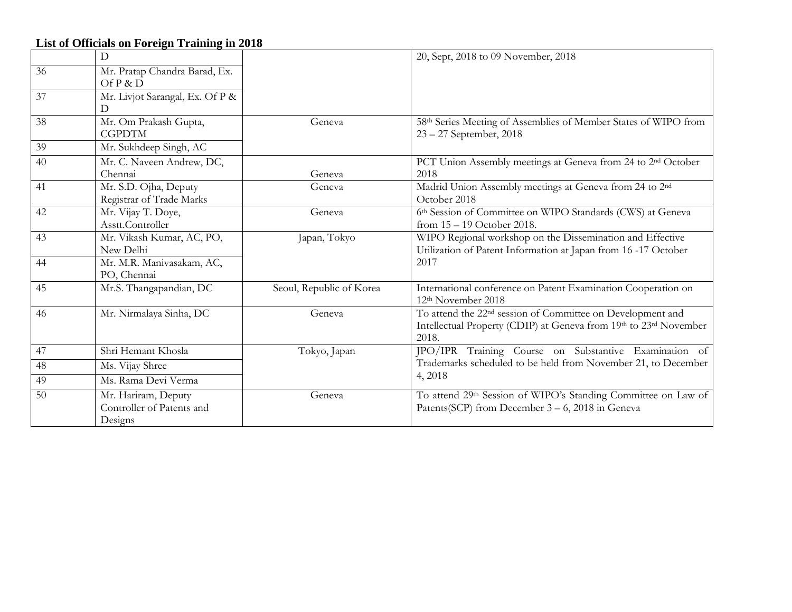| List of Officials on Foreign Training in 2018 |                                 |                          |                                                                                                 |  |
|-----------------------------------------------|---------------------------------|--------------------------|-------------------------------------------------------------------------------------------------|--|
|                                               | D                               |                          | 20, Sept, 2018 to 09 November, 2018                                                             |  |
| 36                                            | Mr. Pratap Chandra Barad, Ex.   |                          |                                                                                                 |  |
|                                               | Of P & D                        |                          |                                                                                                 |  |
| 37                                            | Mr. Livjot Sarangal, Ex. Of P & |                          |                                                                                                 |  |
|                                               | D                               |                          |                                                                                                 |  |
| 38                                            | Mr. Om Prakash Gupta,           | Geneva                   | 58th Series Meeting of Assemblies of Member States of WIPO from                                 |  |
|                                               | <b>CGPDTM</b>                   |                          | $23 - 27$ September, 2018                                                                       |  |
| 39                                            | Mr. Sukhdeep Singh, AC          |                          |                                                                                                 |  |
| 40                                            | Mr. C. Naveen Andrew, DC,       |                          | PCT Union Assembly meetings at Geneva from 24 to 2 <sup>nd</sup> October                        |  |
|                                               | Chennai                         | Geneva                   | 2018                                                                                            |  |
| 41                                            | Mr. S.D. Ojha, Deputy           | Geneva                   | Madrid Union Assembly meetings at Geneva from 24 to 2 <sup>nd</sup>                             |  |
|                                               | Registrar of Trade Marks        |                          | October 2018                                                                                    |  |
| 42                                            | Mr. Vijay T. Doye,              | Geneva                   | 6th Session of Committee on WIPO Standards (CWS) at Geneva                                      |  |
|                                               | Asstt.Controller                |                          | from $15 - 19$ October 2018.                                                                    |  |
| 43                                            | Mr. Vikash Kumar, AC, PO,       | Japan, Tokyo             | WIPO Regional workshop on the Dissemination and Effective                                       |  |
|                                               | New Delhi                       |                          | Utilization of Patent Information at Japan from 16-17 October                                   |  |
| 44                                            | Mr. M.R. Manivasakam, AC,       |                          | 2017                                                                                            |  |
|                                               | PO, Chennai                     |                          |                                                                                                 |  |
| 45                                            | Mr.S. Thangapandian, DC         | Seoul, Republic of Korea | International conference on Patent Examination Cooperation on<br>12 <sup>th</sup> November 2018 |  |
| 46                                            | Mr. Nirmalaya Sinha, DC         | Geneva                   | To attend the 22 <sup>nd</sup> session of Committee on Development and                          |  |
|                                               |                                 |                          | Intellectual Property (CDIP) at Geneva from 19th to 23rd November                               |  |
|                                               |                                 |                          | 2018.                                                                                           |  |
| 47                                            | Shri Hemant Khosla              | Tokyo, Japan             | JPO/IPR Training Course on Substantive Examination of                                           |  |
| 48                                            | Ms. Vijay Shree                 |                          | Trademarks scheduled to be held from November 21, to December                                   |  |
| 49                                            | Ms. Rama Devi Verma             |                          | 4,2018                                                                                          |  |
| 50                                            | Mr. Hariram, Deputy             | Geneva                   | To attend 29th Session of WIPO's Standing Committee on Law of                                   |  |
|                                               | Controller of Patents and       |                          | Patents(SCP) from December 3 – 6, 2018 in Geneva                                                |  |
|                                               | Designs                         |                          |                                                                                                 |  |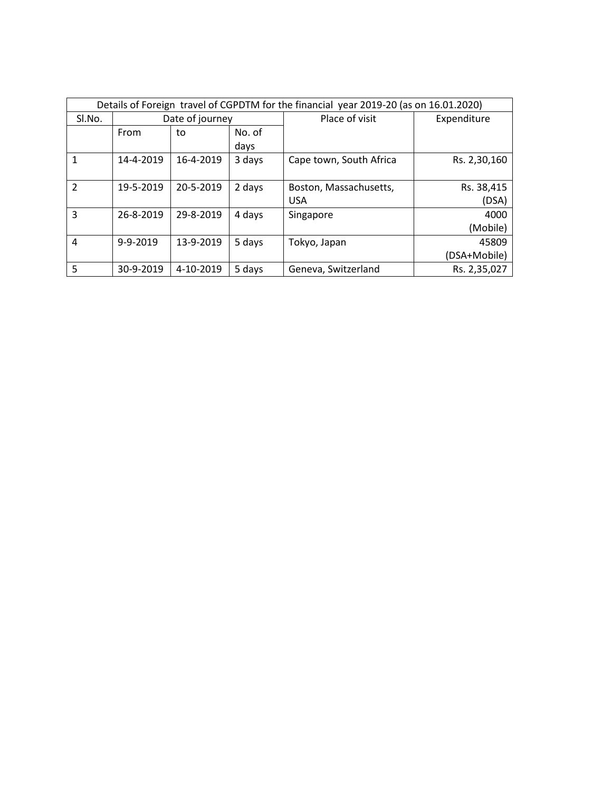| Details of Foreign travel of CGPDTM for the financial year 2019-20 (as on 16.01.2020) |                 |           |                |                         |              |
|---------------------------------------------------------------------------------------|-----------------|-----------|----------------|-------------------------|--------------|
| Sl.No.                                                                                | Date of journey |           | Place of visit | Expenditure             |              |
|                                                                                       | From            | to        | No. of<br>days |                         |              |
|                                                                                       | 14-4-2019       | 16-4-2019 | 3 days         | Cape town, South Africa | Rs. 2,30,160 |
| $\overline{2}$                                                                        | 19-5-2019       | 20-5-2019 | 2 days         | Boston, Massachusetts,  | Rs. 38,415   |
|                                                                                       |                 |           |                | <b>USA</b>              | (DSA)        |
| 3                                                                                     | 26-8-2019       | 29-8-2019 | 4 days         | Singapore               | 4000         |
|                                                                                       |                 |           |                |                         | (Mobile)     |
| 4                                                                                     | 9-9-2019        | 13-9-2019 | 5 days         | Tokyo, Japan            | 45809        |
|                                                                                       |                 |           |                |                         | (DSA+Mobile) |
| 5                                                                                     | 30-9-2019       | 4-10-2019 | 5 days         | Geneva, Switzerland     | Rs. 2,35,027 |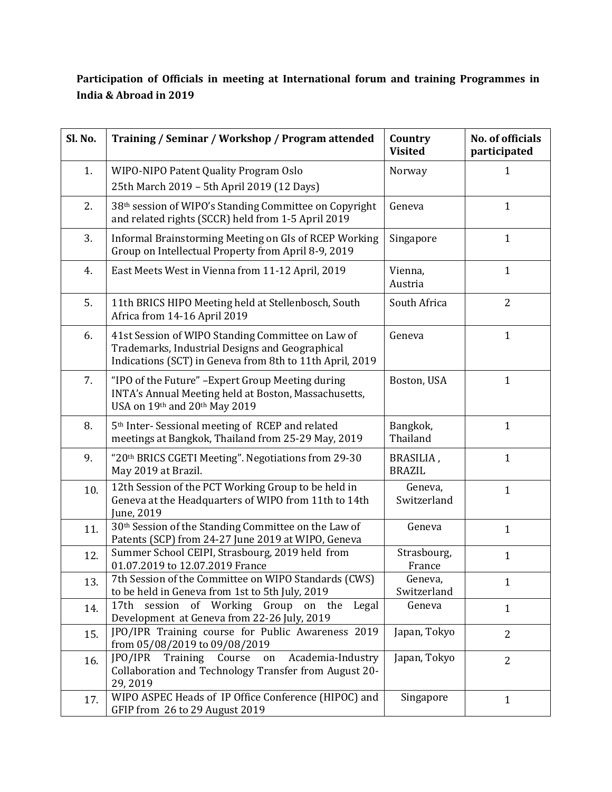#### **Participation of Officials in meeting at International forum and training Programmes in India & Abroad in 2019**

| Sl. No. | Training / Seminar / Workshop / Program attended                                                                                                                 | Country<br><b>Visited</b>  | No. of officials<br>participated |
|---------|------------------------------------------------------------------------------------------------------------------------------------------------------------------|----------------------------|----------------------------------|
| 1.      | WIPO-NIPO Patent Quality Program Oslo<br>25th March 2019 - 5th April 2019 (12 Days)                                                                              | Norway                     | 1                                |
| 2.      | 38th session of WIPO's Standing Committee on Copyright<br>and related rights (SCCR) held from 1-5 April 2019                                                     | Geneva                     | $\mathbf{1}$                     |
| 3.      | Informal Brainstorming Meeting on GIs of RCEP Working<br>Group on Intellectual Property from April 8-9, 2019                                                     | Singapore                  | $\mathbf{1}$                     |
| 4.      | East Meets West in Vienna from 11-12 April, 2019                                                                                                                 | Vienna,<br>Austria         | $\mathbf{1}$                     |
| 5.      | 11th BRICS HIPO Meeting held at Stellenbosch, South<br>Africa from 14-16 April 2019                                                                              | South Africa               | $\overline{2}$                   |
| 6.      | 41st Session of WIPO Standing Committee on Law of<br>Trademarks, Industrial Designs and Geographical<br>Indications (SCT) in Geneva from 8th to 11th April, 2019 | Geneva                     | $\mathbf{1}$                     |
| 7.      | "IPO of the Future" - Expert Group Meeting during<br>INTA's Annual Meeting held at Boston, Massachusetts,<br>USA on 19th and 20th May 2019                       | Boston, USA                | $\mathbf{1}$                     |
| 8.      | 5 <sup>th</sup> Inter-Sessional meeting of RCEP and related<br>meetings at Bangkok, Thailand from 25-29 May, 2019                                                | Bangkok,<br>Thailand       | $\mathbf{1}$                     |
| 9.      | "20th BRICS CGETI Meeting". Negotiations from 29-30<br>May 2019 at Brazil.                                                                                       | BRASILIA,<br><b>BRAZIL</b> | $\mathbf{1}$                     |
| 10.     | 12th Session of the PCT Working Group to be held in<br>Geneva at the Headquarters of WIPO from 11th to 14th<br>June, 2019                                        | Geneva,<br>Switzerland     | $\mathbf{1}$                     |
| 11.     | 30 <sup>th</sup> Session of the Standing Committee on the Law of<br>Patents (SCP) from 24-27 June 2019 at WIPO, Geneva                                           | Geneva                     | $\mathbf{1}$                     |
| 12.     | Summer School CEIPI, Strasbourg, 2019 held from<br>01.07.2019 to 12.07.2019 France                                                                               | Strasbourg,<br>France      | $\mathbf{1}$                     |
| 13.     | 7th Session of the Committee on WIPO Standards (CWS)<br>to be held in Geneva from 1st to 5th July, 2019                                                          | Geneva,<br>Switzerland     | $\mathbf{1}$                     |
| 14.     | 17th session of Working Group on the<br>Legal<br>Development at Geneva from 22-26 July, 2019                                                                     | Geneva                     | $\mathbf{1}$                     |
| 15.     | JPO/IPR Training course for Public Awareness 2019<br>from 05/08/2019 to 09/08/2019                                                                               | Japan, Tokyo               | $\overline{2}$                   |
| 16.     | Course<br>[PO/IPR]<br>Training<br>Academia-Industry<br>on<br>Collaboration and Technology Transfer from August 20-<br>29, 2019                                   | Japan, Tokyo               | $\overline{2}$                   |
| 17.     | WIPO ASPEC Heads of IP Office Conference (HIPOC) and<br>GFIP from 26 to 29 August 2019                                                                           | Singapore                  | $\mathbf{1}$                     |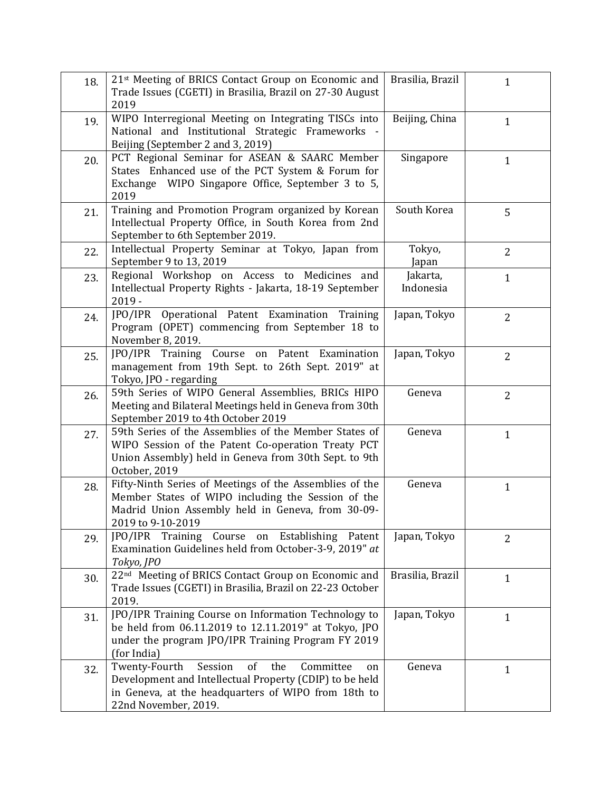| 18. | 21 <sup>st</sup> Meeting of BRICS Contact Group on Economic and<br>Trade Issues (CGETI) in Brasilia, Brazil on 27-30 August<br>2019                                                                | Brasilia, Brazil      | $\mathbf{1}$   |
|-----|----------------------------------------------------------------------------------------------------------------------------------------------------------------------------------------------------|-----------------------|----------------|
| 19. | WIPO Interregional Meeting on Integrating TISCs into<br>National and Institutional Strategic Frameworks -<br>Beijing (September 2 and 3, 2019)                                                     | Beijing, China        | $\mathbf{1}$   |
| 20. | PCT Regional Seminar for ASEAN & SAARC Member<br>States Enhanced use of the PCT System & Forum for<br>Exchange WIPO Singapore Office, September 3 to 5,<br>2019                                    | Singapore             | $\mathbf{1}$   |
| 21. | Training and Promotion Program organized by Korean<br>Intellectual Property Office, in South Korea from 2nd<br>September to 6th September 2019.                                                    | South Korea           | 5              |
| 22. | Intellectual Property Seminar at Tokyo, Japan from<br>September 9 to 13, 2019                                                                                                                      | Tokyo,<br>Japan       | 2              |
| 23. | Regional Workshop on Access to Medicines and<br>Intellectual Property Rights - Jakarta, 18-19 September<br>$2019 -$                                                                                | Jakarta,<br>Indonesia | $\mathbf{1}$   |
| 24. | JPO/IPR Operational Patent Examination Training<br>Program (OPET) commencing from September 18 to<br>November 8, 2019.                                                                             | Japan, Tokyo          | $\overline{2}$ |
| 25. | JPO/IPR Training Course on Patent Examination<br>management from 19th Sept. to 26th Sept. 2019" at<br>Tokyo, JPO - regarding                                                                       | Japan, Tokyo          | $\overline{2}$ |
| 26. | 59th Series of WIPO General Assemblies, BRICs HIPO<br>Meeting and Bilateral Meetings held in Geneva from 30th<br>September 2019 to 4th October 2019                                                | Geneva                | $\overline{2}$ |
| 27. | 59th Series of the Assemblies of the Member States of<br>WIPO Session of the Patent Co-operation Treaty PCT<br>Union Assembly) held in Geneva from 30th Sept. to 9th<br>October, 2019              | Geneva                | $\mathbf{1}$   |
| 28. | Fifty-Ninth Series of Meetings of the Assemblies of the<br>Member States of WIPO including the Session of the<br>Madrid Union Assembly held in Geneva, from 30-09-<br>2019 to 9-10-2019            | Geneva                | $\mathbf{1}$   |
| 29. | JPO/IPR Training Course on Establishing Patent<br>Examination Guidelines held from October-3-9, 2019" at<br>Tokyo, JPO                                                                             | Japan, Tokyo          | $\overline{2}$ |
| 30. | 22 <sup>nd</sup> Meeting of BRICS Contact Group on Economic and<br>Trade Issues (CGETI) in Brasilia, Brazil on 22-23 October<br>2019.                                                              | Brasilia, Brazil      | $\mathbf{1}$   |
| 31. | JPO/IPR Training Course on Information Technology to<br>be held from 06.11.2019 to 12.11.2019" at Tokyo, JPO<br>under the program JPO/IPR Training Program FY 2019<br>(for India)                  | Japan, Tokyo          | $\mathbf{1}$   |
| 32. | Twenty-Fourth<br>Session<br>of<br>Committee<br>the<br>on<br>Development and Intellectual Property (CDIP) to be held<br>in Geneva, at the headquarters of WIPO from 18th to<br>22nd November, 2019. | Geneva                | $\mathbf{1}$   |